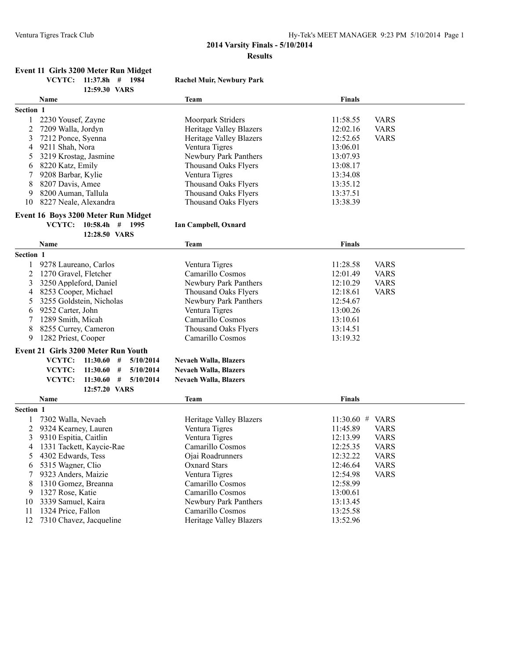#### Ventura Tigres Track Club Hy-Tek's MEET MANAGER 9:23 PM 5/10/2014 Page 1

### **2014 Varsity Finals - 5/10/2014 Results**

## **Event 11 Girls 3200 Meter Run Midget**

**12:59.30 VARS**

**VCYTC: 11:37.8h # 1984 Rachel Muir, Newbury Park**

|                  | <b>Name</b>             | Team                    | <b>Finals</b> |             |
|------------------|-------------------------|-------------------------|---------------|-------------|
| <b>Section 1</b> |                         |                         |               |             |
|                  | 2230 Yousef, Zayne      | Moorpark Striders       | 11:58.55      | <b>VARS</b> |
|                  | 2 7209 Walla, Jordyn    | Heritage Valley Blazers | 12:02.16      | <b>VARS</b> |
|                  | 3 7212 Ponce, Syenna    | Heritage Valley Blazers | 12:52.65      | <b>VARS</b> |
| 4                | 9211 Shah, Nora         | Ventura Tigres          | 13:06.01      |             |
|                  | 5 3219 Krostag, Jasmine | Newbury Park Panthers   | 13:07.93      |             |
| 6                | 8220 Katz, Emily        | Thousand Oaks Flyers    | 13:08.17      |             |
|                  | 9208 Barbar, Kylie      | Ventura Tigres          | 13:34.08      |             |
| 8                | 8207 Davis, Amee        | Thousand Oaks Flyers    | 13:35.12      |             |
| 9                | 8200 Auman, Tallula     | Thousand Oaks Flyers    | 13:37.51      |             |
| 10               | 8227 Neale, Alexandra   | Thousand Oaks Flvers    | 13:38.39      |             |

#### **Event 16 Boys 3200 Meter Run Midget**

**VCYTC: 10:58.4h # 1995 Ian Campbell, Oxnard**

|                                            | 12:28.50 VARS                        |                              |                             |  |
|--------------------------------------------|--------------------------------------|------------------------------|-----------------------------|--|
|                                            | <b>Name</b>                          | <b>Team</b>                  | <b>Finals</b>               |  |
| Section 1                                  |                                      |                              |                             |  |
|                                            | 9278 Laureano, Carlos                | Ventura Tigres               | <b>VARS</b><br>11:28.58     |  |
| 2                                          | 1270 Gravel, Fletcher                | Camarillo Cosmos             | 12:01.49<br><b>VARS</b>     |  |
| 3                                          | 3250 Appleford, Daniel               | Newbury Park Panthers        | 12:10.29<br><b>VARS</b>     |  |
| 4                                          | 8253 Cooper, Michael                 | Thousand Oaks Flyers         | 12:18.61<br><b>VARS</b>     |  |
| 5.                                         | 3255 Goldstein, Nicholas             | Newbury Park Panthers        | 12:54.67                    |  |
| 6                                          | 9252 Carter, John                    | Ventura Tigres               | 13:00.26                    |  |
|                                            | 1289 Smith, Micah                    | Camarillo Cosmos             | 13:10.61                    |  |
| 8                                          | 8255 Currey, Cameron                 | <b>Thousand Oaks Flyers</b>  | 13:14.51                    |  |
| 9<br>1282 Priest, Cooper                   |                                      | Camarillo Cosmos             | 13:19.32                    |  |
| <b>Event 21 Girls 3200 Meter Run Youth</b> |                                      |                              |                             |  |
|                                            | VCYTC:<br>11:30.60<br>#<br>5/10/2014 | <b>Nevaeh Walla, Blazers</b> |                             |  |
|                                            | VCYTC:<br>11:30.60<br>5/10/2014<br># | <b>Nevaeh Walla, Blazers</b> |                             |  |
|                                            | VCYTC:<br>11:30.60<br>5/10/2014<br># | <b>Nevaeh Walla, Blazers</b> |                             |  |
|                                            | 12:57.20 VARS                        |                              |                             |  |
| Name                                       |                                      | <b>Team</b>                  | <b>Finals</b>               |  |
| Section 1                                  |                                      |                              |                             |  |
|                                            | 7302 Walla, Nevaeh                   | Heritage Valley Blazers      | $11:30.60$ #<br><b>VARS</b> |  |
| 2                                          | 9324 Kearney, Lauren                 | Ventura Tigres               | 11:45.89<br><b>VARS</b>     |  |
| 3                                          | 9310 Espitia, Caitlin                | Ventura Tigres               | 12:13.99<br><b>VARS</b>     |  |
| 4                                          | 1331 Tackett, Kaycie-Rae             | Camarillo Cosmos             | 12:25.35<br><b>VARS</b>     |  |
| 5.                                         | 4302 Edwards, Tess                   | Ojai Roadrunners             | 12:32.22<br><b>VARS</b>     |  |
| 6                                          | 5315 Wagner, Clio                    | <b>Oxnard Stars</b>          | 12:46.64<br><b>VARS</b>     |  |

7 9323 Anders, Maizie Ventura Tigres 12:54.98 VARS

9 1327 Rose, Katie Camarillo Cosmos 13:00.61<br>10 3339 Samuel, Kaira 13:13.45 Newbury Park Panthers 13:13.45 10 3339 Samuel, Kaira Newbury Park Panthers 13:13.45<br>11 1324 Price, Fallon Camarillo Cosmos 13:25.58 11 1324 Price, Fallon Camarillo Cosmos 13:25.58<br>12 13:25.58 Heritage Valley Blazers 13:52.96 12 7310 Chavez, Jacqueline Heritage Valley Blazers 13:52.96

8 1310 Gomez, Breanna Camarillo Cosmos<br>9 1327 Rose, Katie Camarillo Cosmos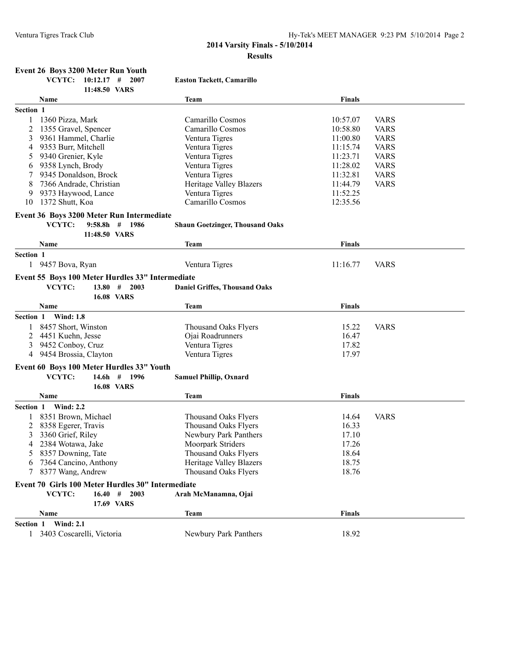| <b>Event 26 Boys 3200 Meter Run Youth</b> |                        |  |  |
|-------------------------------------------|------------------------|--|--|
|                                           | VCYTC: 10:12.17 # 2007 |  |  |

 $E$ aston Tackett, Camarillo

|                  | 11:48.50 VARS                                     |                                        |               |             |
|------------------|---------------------------------------------------|----------------------------------------|---------------|-------------|
|                  | Name                                              | Team                                   | <b>Finals</b> |             |
| Section 1        |                                                   |                                        |               |             |
|                  | 1360 Pizza, Mark                                  | Camarillo Cosmos                       | 10:57.07      | <b>VARS</b> |
| 2                | 1355 Gravel, Spencer                              | Camarillo Cosmos                       | 10:58.80      | <b>VARS</b> |
| 3                | 9361 Hammel, Charlie                              | Ventura Tigres                         | 11:00.80      | <b>VARS</b> |
| 4                | 9353 Burr, Mitchell                               | Ventura Tigres                         | 11:15.74      | <b>VARS</b> |
| 5                | 9340 Grenier, Kyle                                | Ventura Tigres                         | 11:23.71      | <b>VARS</b> |
| 6                | 9358 Lynch, Brody                                 | Ventura Tigres                         | 11:28.02      | <b>VARS</b> |
|                  | 9345 Donaldson, Brock                             | Ventura Tigres                         | 11:32.81      | <b>VARS</b> |
| 8                | 7366 Andrade, Christian                           | Heritage Valley Blazers                | 11:44.79      | <b>VARS</b> |
| 9                | 9373 Haywood, Lance                               | Ventura Tigres                         | 11:52.25      |             |
| 10               | 1372 Shutt, Koa                                   | Camarillo Cosmos                       | 12:35.56      |             |
|                  |                                                   |                                        |               |             |
|                  | Event 36 Boys 3200 Meter Run Intermediate         |                                        |               |             |
|                  | VCYTC:<br>$9:58.8h$ # 1986<br>11:48.50 VARS       | <b>Shaun Goetzinger, Thousand Oaks</b> |               |             |
|                  | Name                                              | Team                                   | <b>Finals</b> |             |
| Section 1        |                                                   |                                        |               |             |
|                  | 9457 Bova, Ryan                                   | Ventura Tigres                         | 11:16.77      | <b>VARS</b> |
|                  |                                                   |                                        |               |             |
|                  | Event 55 Boys 100 Meter Hurdles 33" Intermediate  |                                        |               |             |
|                  | VCYTC:<br>13.80#<br>2003                          | <b>Daniel Griffes, Thousand Oaks</b>   |               |             |
|                  | <b>16.08 VARS</b>                                 |                                        |               |             |
|                  | Name                                              | Team                                   | <b>Finals</b> |             |
| Section 1        | <b>Wind: 1.8</b>                                  |                                        |               |             |
|                  | 8457 Short, Winston                               | <b>Thousand Oaks Flyers</b>            | 15.22         | <b>VARS</b> |
| 2                | 4451 Kuehn, Jesse                                 | Ojai Roadrunners                       | 16.47         |             |
| 3                | 9452 Conboy, Cruz                                 | Ventura Tigres                         | 17.82         |             |
| 4                | 9454 Brossia, Clayton                             | Ventura Tigres                         | 17.97         |             |
|                  | Event 60 Boys 100 Meter Hurdles 33" Youth         |                                        |               |             |
|                  | VCYTC:<br>$14.6h$ # 1996                          | <b>Samuel Phillip, Oxnard</b>          |               |             |
|                  | <b>16.08 VARS</b>                                 |                                        |               |             |
|                  | Name                                              | Team                                   | <b>Finals</b> |             |
| Section 1        | <b>Wind: 2.2</b>                                  |                                        |               |             |
|                  | 8351 Brown, Michael                               | <b>Thousand Oaks Flyers</b>            | 14.64         | <b>VARS</b> |
| 2                | 8358 Egerer, Travis                               | <b>Thousand Oaks Flyers</b>            | 16.33         |             |
| 3                | 3360 Grief, Riley                                 | Newbury Park Panthers                  | 17.10         |             |
| 4                | 2384 Wotawa, Jake                                 | Moorpark Striders                      | 17.26         |             |
| 5                | 8357 Downing, Tate                                | <b>Thousand Oaks Flyers</b>            | 18.64         |             |
|                  | 7364 Cancino, Anthony                             | <b>Heritage Valley Blazers</b>         | 18.75         |             |
| 7                | 8377 Wang, Andrew                                 | <b>Thousand Oaks Flyers</b>            | 18.76         |             |
|                  |                                                   |                                        |               |             |
|                  | Event 70 Girls 100 Meter Hurdles 30" Intermediate |                                        |               |             |
|                  | VCYTC:<br>$16.40$ # 2003                          | Arah McManamna, Ojai                   |               |             |
|                  | 17.69 VARS                                        |                                        |               |             |
|                  | Name                                              | <b>Team</b>                            | <b>Finals</b> |             |
| <b>Section 1</b> | <b>Wind: 2.1</b>                                  |                                        |               |             |
|                  | 1 3403 Coscarelli, Victoria                       | Newbury Park Panthers                  | 18.92         |             |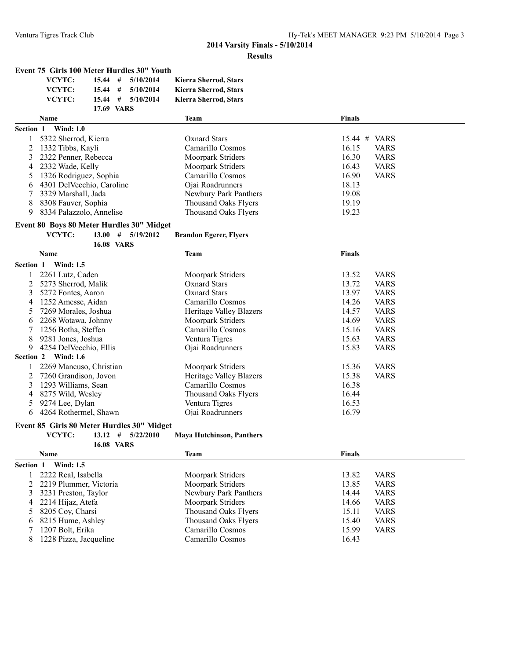#### **Event 75 Girls 100 Meter Hurdles 30" Youth**

| VCYTC: |            | $15.44$ # $5/10/2014$ | Kierra Sherrod, Stars |
|--------|------------|-----------------------|-----------------------|
| VCYTC: |            | $15.44$ # $5/10/2014$ | Kierra Sherrod, Stars |
| VCYTC: |            | $15.44$ # $5/10/2014$ | Kierra Sherrod, Stars |
|        | 17.69 VARS |                       |                       |
|        |            |                       |                       |

|           | <b>Name</b>                  | Team                  | <b>Finals</b>        |
|-----------|------------------------------|-----------------------|----------------------|
| Section 1 | <b>Wind: 1.0</b>             |                       |                      |
|           | 5322 Sherrod, Kierra         | Oxnard Stars          | $15.44$ # VARS       |
|           | 2 1332 Tibbs, Kayli          | Camarillo Cosmos      | <b>VARS</b><br>16.15 |
|           | 3 2322 Penner, Rebecca       | Moorpark Striders     | 16.30<br><b>VARS</b> |
|           | 4 2332 Wade, Kelly           | Moorpark Striders     | 16.43<br><b>VARS</b> |
|           | 5 1326 Rodriguez, Sophia     | Camarillo Cosmos      | 16.90<br><b>VARS</b> |
|           | 6 4301 Del Vecchio, Caroline | Ojai Roadrunners      | 18.13                |
|           | 7 3329 Marshall, Jada        | Newbury Park Panthers | 19.08                |
|           | 8 8308 Fauver, Sophia        | Thousand Oaks Flyers  | 19.19                |
| 9         | 8334 Palazzolo, Annelise     | Thousand Oaks Flyers  | 19.23                |

# **Event 80 Boys 80 Meter Hurdles 30" Midget<br>VCYTC:** 13.00  $\#$  5/19/2012

**16.08 VARS**

**Brandon Egerer, Flyers** 

|           | Name                    | Team                    | <b>Finals</b> |             |
|-----------|-------------------------|-------------------------|---------------|-------------|
| Section 1 | <b>Wind: 1.5</b>        |                         |               |             |
|           | 2261 Lutz, Caden        | Moorpark Striders       | 13.52         | <b>VARS</b> |
|           | 5273 Sherrod, Malik     | Oxnard Stars            | 13.72         | <b>VARS</b> |
| 3         | 5272 Fontes, Aaron      | <b>Oxnard Stars</b>     | 13.97         | <b>VARS</b> |
| 4         | 1252 Amesse, Aidan      | Camarillo Cosmos        | 14.26         | <b>VARS</b> |
| 5         | 7269 Morales, Joshua    | Heritage Valley Blazers | 14.57         | <b>VARS</b> |
| 6         | 2268 Wotawa, Johnny     | Moorpark Striders       | 14.69         | <b>VARS</b> |
|           | 1256 Botha, Steffen     | Camarillo Cosmos        | 15.16         | <b>VARS</b> |
| 8         | 9281 Jones, Joshua      | Ventura Tigres          | 15.63         | <b>VARS</b> |
| 9         | 4254 DelVecchio, Ellis  | Ojai Roadrunners        | 15.83         | <b>VARS</b> |
| Section 2 | <b>Wind: 1.6</b>        |                         |               |             |
|           | 2269 Mancuso, Christian | Moorpark Striders       | 15.36         | <b>VARS</b> |
|           | 7260 Grandison, Jovon   | Heritage Valley Blazers | 15.38         | <b>VARS</b> |
| 3         | 1293 Williams, Sean     | Camarillo Cosmos        | 16.38         |             |
| 4         | 8275 Wild, Wesley       | Thousand Oaks Flyers    | 16.44         |             |
| 5         | 9274 Lee, Dylan         | Ventura Tigres          | 16.53         |             |
| 6         | 4264 Rothermel, Shawn   | Ojai Roadrunners        | 16.79         |             |

## **Event 85 Girls 80 Meter Hurdles 30" Midget<br>VCYTC:** 13.12  $\#$  5/22/2010

**VCYTC: 13.12 # 5/22/2010 Maya Hutchinson, Panthers**

| <b>Section 1</b><br><b>Wind: 1.5</b><br>2222 Real, Isabella<br><b>VARS</b><br>Moorpark Striders<br>13.82<br>Moorpark Striders<br>13.85<br>2 2219 Plummer, Victoria<br><b>VARS</b><br>3231 Preston, Taylor<br>Newbury Park Panthers<br>14.44<br><b>VARS</b><br><b>VARS</b><br>4 2214 Hijaz, Atefa<br>Moorpark Striders<br>14.66<br><b>VARS</b><br>Thousand Oaks Flyers<br>15.11<br>5 8205 Coy, Charsi |  |
|------------------------------------------------------------------------------------------------------------------------------------------------------------------------------------------------------------------------------------------------------------------------------------------------------------------------------------------------------------------------------------------------------|--|
|                                                                                                                                                                                                                                                                                                                                                                                                      |  |
|                                                                                                                                                                                                                                                                                                                                                                                                      |  |
|                                                                                                                                                                                                                                                                                                                                                                                                      |  |
|                                                                                                                                                                                                                                                                                                                                                                                                      |  |
|                                                                                                                                                                                                                                                                                                                                                                                                      |  |
|                                                                                                                                                                                                                                                                                                                                                                                                      |  |
| 8215 Hume, Ashley<br>Thousand Oaks Flyers<br>15.40<br><b>VARS</b><br>6.                                                                                                                                                                                                                                                                                                                              |  |
| 1207 Bolt, Erika<br>15.99<br><b>VARS</b><br>Camarillo Cosmos                                                                                                                                                                                                                                                                                                                                         |  |
| 1228 Pizza, Jacqueline<br>16.43<br>Camarillo Cosmos<br>8                                                                                                                                                                                                                                                                                                                                             |  |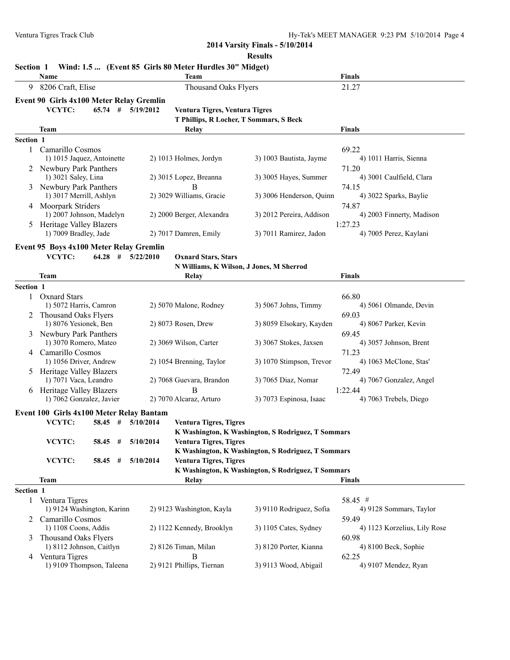**2014 Varsity Finals - 5/10/2014**

|                  |                                                    |           |                     |                                                         | <b>Results</b>                                     |                                 |
|------------------|----------------------------------------------------|-----------|---------------------|---------------------------------------------------------|----------------------------------------------------|---------------------------------|
| <b>Section 1</b> |                                                    |           |                     | Wind: 1.5  (Event 85 Girls 80 Meter Hurdles 30" Midget) |                                                    |                                 |
|                  | Name                                               |           |                     | Team                                                    |                                                    | <b>Finals</b>                   |
| 9                | 8206 Craft, Elise                                  |           |                     | <b>Thousand Oaks Flyers</b>                             |                                                    | 21.27                           |
|                  | Event 90 Girls 4x100 Meter Relay Gremlin           |           |                     |                                                         |                                                    |                                 |
|                  | VCYTC:                                             | $65.74$ # | 5/19/2012           | Ventura Tigres, Ventura Tigres                          |                                                    |                                 |
|                  |                                                    |           |                     | T Phillips, R Locher, T Sommars, S Beck                 |                                                    |                                 |
|                  | Team                                               |           |                     | Relay                                                   |                                                    | <b>Finals</b>                   |
| Section 1        |                                                    |           |                     |                                                         |                                                    |                                 |
| 1                | Camarillo Cosmos                                   |           |                     |                                                         |                                                    | 69.22                           |
|                  | 1) 1015 Jaquez, Antoinette                         |           |                     | 2) 1013 Holmes, Jordyn                                  | 3) 1003 Bautista, Jayme                            | 4) 1011 Harris, Sienna          |
|                  | 2 Newbury Park Panthers                            |           |                     |                                                         |                                                    | 71.20                           |
|                  | 1) 3021 Saley, Lina                                |           |                     | 2) 3015 Lopez, Breanna                                  | 3) 3005 Hayes, Summer                              | 4) 3001 Caulfield, Clara        |
|                  | 3 Newbury Park Panthers<br>1) 3017 Merrill, Ashlyn |           |                     | В<br>2) 3029 Williams, Gracie                           | 3) 3006 Henderson, Quinn                           | 74.15<br>4) 3022 Sparks, Baylie |
|                  | 4 Moorpark Striders                                |           |                     |                                                         |                                                    | 74.87                           |
|                  | 1) 2007 Johnson, Madelyn                           |           |                     | 2) 2000 Berger, Alexandra                               | 3) 2012 Pereira, Addison                           | 4) 2003 Finnerty, Madison       |
|                  | Heritage Valley Blazers                            |           |                     |                                                         |                                                    | 1:27.23                         |
|                  | 1) 7009 Bradley, Jade                              |           |                     | 2) 7017 Damren, Emily                                   | 3) 7011 Ramirez, Jadon                             | 4) 7005 Perez, Kaylani          |
|                  |                                                    |           |                     |                                                         |                                                    |                                 |
|                  | Event 95 Boys 4x100 Meter Relay Gremlin<br>VCYTC:  | $64.28$ # | 5/22/2010           |                                                         |                                                    |                                 |
|                  |                                                    |           |                     | <b>Oxnard Stars, Stars</b>                              | N Williams, K Wilson, J Jones, M Sherrod           |                                 |
|                  | Team                                               |           |                     | Relay                                                   |                                                    | <b>Finals</b>                   |
| Section 1        |                                                    |           |                     |                                                         |                                                    |                                 |
| $\mathbf{1}$     | <b>Oxnard Stars</b>                                |           |                     |                                                         |                                                    | 66.80                           |
|                  | 1) 5072 Harris, Camron                             |           |                     | 2) 5070 Malone, Rodney                                  | 3) 5067 Johns, Timmy                               | 4) 5061 Olmande, Devin          |
|                  | 2 Thousand Oaks Flyers                             |           |                     |                                                         |                                                    | 69.03                           |
|                  | 1) 8076 Yesionek, Ben                              |           |                     | 2) 8073 Rosen, Drew                                     | 3) 8059 Elsokary, Kayden                           | 4) 8067 Parker, Kevin           |
| 3                | Newbury Park Panthers                              |           |                     |                                                         |                                                    | 69.45                           |
|                  | 1) 3070 Romero, Mateo                              |           |                     | 2) 3069 Wilson, Carter                                  | 3) 3067 Stokes, Jaxsen                             | 4) 3057 Johnson, Brent          |
| 4                | Camarillo Cosmos                                   |           |                     |                                                         |                                                    | 71.23                           |
|                  | 1) 1056 Driver, Andrew                             |           |                     | 2) 1054 Brenning, Taylor                                | 3) 1070 Stimpson, Trevor                           | 4) 1063 McClone, Stas'          |
|                  | 5 Heritage Valley Blazers                          |           |                     |                                                         |                                                    | 72.49                           |
|                  | 1) 7071 Vaca, Leandro                              |           |                     | 2) 7068 Guevara, Brandon                                | 3) 7065 Diaz, Nomar                                | 4) 7067 Gonzalez, Angel         |
|                  | 6 Heritage Valley Blazers                          |           |                     | B                                                       |                                                    | 1:22.44                         |
|                  | 1) 7062 Gonzalez, Javier                           |           |                     | 2) 7070 Alcaraz, Arturo                                 | 3) 7073 Espinosa, Isaac                            | 4) 7063 Trebels, Diego          |
|                  | Event 100 Girls 4x100 Meter Relay Bantam           |           |                     |                                                         |                                                    |                                 |
|                  | VCYTC:                                             |           | 58.45 # $5/10/2014$ | <b>Ventura Tigres, Tigres</b>                           |                                                    |                                 |
|                  |                                                    |           |                     |                                                         | K Washington, K Washington, S Rodriguez, T Sommars |                                 |
|                  | VCYTC:                                             | $58.45$ # | 5/10/2014           | <b>Ventura Tigres, Tigres</b>                           |                                                    |                                 |
|                  |                                                    |           |                     |                                                         | K Washington, K Washington, S Rodriguez, T Sommars |                                 |
|                  | VCYTC:                                             | $58.45$ # | 5/10/2014           | Ventura Tigres, Tigres                                  |                                                    |                                 |
|                  |                                                    |           |                     |                                                         | K Washington, K Washington, S Rodriguez, T Sommars |                                 |
|                  | Team                                               |           |                     | Relay                                                   |                                                    | <b>Finals</b>                   |
| Section 1        |                                                    |           |                     |                                                         |                                                    |                                 |
|                  | 1 Ventura Tigres                                   |           |                     |                                                         |                                                    | 58.45 #                         |
|                  | 1) 9124 Washington, Karinn                         |           |                     | 2) 9123 Washington, Kayla                               | 3) 9110 Rodriguez, Sofia                           | 4) 9128 Sommars, Taylor         |
|                  | Camarillo Cosmos                                   |           |                     |                                                         |                                                    | 59.49                           |
|                  | 1) 1108 Coons, Addis                               |           |                     | 2) 1122 Kennedy, Brooklyn                               | 3) 1105 Cates, Sydney                              | 4) 1123 Korzelius, Lily Rose    |
| 3                | Thousand Oaks Flyers<br>1) 8112 Johnson, Caitlyn   |           |                     | 2) 8126 Timan, Milan                                    | 3) 8120 Porter, Kianna                             | 60.98<br>4) 8100 Beck, Sophie   |
|                  | 4 Ventura Tigres                                   |           |                     | B                                                       |                                                    | 62.25                           |
|                  |                                                    |           |                     |                                                         |                                                    |                                 |

1) 9109 Thompson, Taleena 2) 9121 Phillips, Tiernan 3) 9113 Wood, Abigail 4) 9107 Mendez, Ryan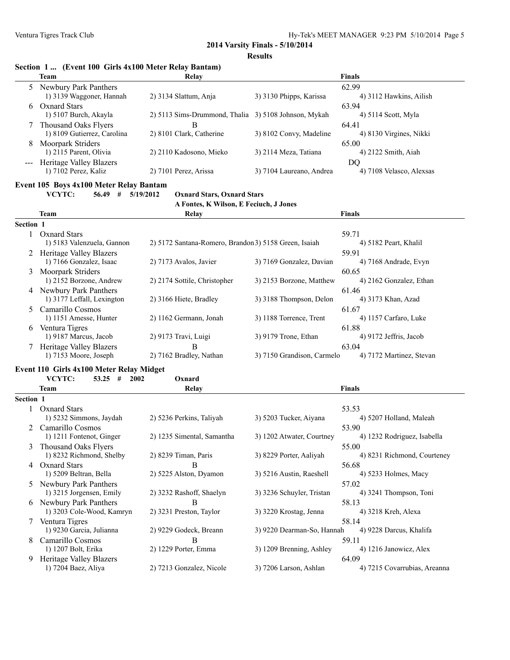**2014 Varsity Finals - 5/10/2014**

**Results**

|              | Section 1  (Event 100 Girls 4x100 Meter Relay Bantam)   |                                                       |                            |                                       |
|--------------|---------------------------------------------------------|-------------------------------------------------------|----------------------------|---------------------------------------|
|              | <b>Team</b>                                             | Relay                                                 |                            | Finals                                |
| 5            | Newbury Park Panthers<br>1) 3139 Waggoner, Hannah       | 2) 3134 Slattum, Anja                                 | 3) 3130 Phipps, Karissa    | 62.99<br>4) 3112 Hawkins, Ailish      |
| 6            | <b>Oxnard Stars</b><br>1) 5107 Burch, Akayla            | 2) 5113 Sims-Drummond, Thalia 3) 5108 Johnson, Mykah  |                            | 63.94<br>4) 5114 Scott, Myla          |
|              | Thousand Oaks Flyers<br>1) 8109 Gutierrez, Carolina     | B<br>2) 8101 Clark, Catherine                         | 3) 8102 Convy, Madeline    | 64.41<br>4) 8130 Virgines, Nikki      |
| 8            | <b>Moorpark Striders</b><br>1) 2115 Parent, Olivia      | 2) 2110 Kadosono, Mieko                               | 3) 2114 Meza, Tatiana      | 65.00<br>4) 2122 Smith, Aiah          |
|              | <b>Heritage Valley Blazers</b><br>1) 7102 Perez, Kaliz  | 2) 7101 Perez, Arissa                                 | 3) 7104 Laureano, Andrea   | DQ<br>4) 7108 Velasco, Alexsas        |
|              | Event 105 Boys 4x100 Meter Relay Bantam                 |                                                       |                            |                                       |
|              | VCYTC:<br>$56.49$ # $5/19/2012$                         | <b>Oxnard Stars, Oxnard Stars</b>                     |                            |                                       |
|              |                                                         | A Fontes, K Wilson, E Feciuch, J Jones                |                            |                                       |
|              | Team                                                    | Relay                                                 |                            | <b>Finals</b>                         |
| Section 1    |                                                         |                                                       |                            |                                       |
|              | 1 Oxnard Stars<br>1) 5183 Valenzuela, Gannon            | 2) 5172 Santana-Romero, Brandon 3) 5158 Green, Isaiah |                            | 59.71<br>4) 5182 Peart, Khalil        |
|              | 2 Heritage Valley Blazers<br>1) 7166 Gonzalez, Isaac    | 2) 7173 Avalos, Javier                                | 3) 7169 Gonzalez, Davian   | 59.91<br>4) 7168 Andrade, Evyn        |
| 3            | <b>Moorpark Striders</b><br>1) 2152 Borzone, Andrew     | 2) 2174 Sottile, Christopher                          | 3) 2153 Borzone, Matthew   | 60.65<br>4) 2162 Gonzalez, Ethan      |
|              | 4 Newbury Park Panthers<br>1) 3177 Leffall, Lexington   | 2) 3166 Hiete, Bradley                                | 3) 3188 Thompson, Delon    | 61.46<br>4) 3173 Khan, Azad           |
| 5.           | Camarillo Cosmos<br>1) 1151 Amesse, Hunter              | 2) 1162 Germann, Jonah                                | 3) 1188 Torrence, Trent    | 61.67<br>4) 1157 Carfaro, Luke        |
|              | 6 Ventura Tigres<br>1) 9187 Marcus, Jacob               | 2) 9173 Travi, Luigi                                  | 3) 9179 Trone, Ethan       | 61.88<br>4) 9172 Jeffris, Jacob       |
|              | <b>Heritage Valley Blazers</b><br>1) 7153 Moore, Joseph | В<br>2) 7162 Bradley, Nathan                          | 3) 7150 Grandison, Carmelo | 63.04<br>4) 7172 Martinez, Stevan     |
|              | Event 110 Girls 4x100 Meter Relay Midget                |                                                       |                            |                                       |
|              | VCYTC:<br>$53.25$ #<br>2002                             | Oxnard                                                |                            |                                       |
|              | Team                                                    | Relay                                                 |                            | <b>Finals</b>                         |
| Section 1    |                                                         |                                                       |                            |                                       |
| $\mathbf{1}$ | <b>Oxnard Stars</b><br>1) 5232 Simmons, Jaydah          | 2) 5236 Perkins, Taliyah                              | 3) 5203 Tucker, Aiyana     | 53.53<br>4) 5207 Holland, Maleah      |
|              | 2 Camarillo Cosmos<br>1) 1211 Fontenot, Ginger          | 2) 1235 Simental, Samantha                            | 3) 1202 Atwater, Courtney  | 53.90<br>4) 1232 Rodriguez, Isabella  |
| 3            | Thousand Oaks Flyers<br>1) 8232 Richmond, Shelby        | 2) 8239 Timan, Paris                                  | 3) 8229 Porter, Aaliyah    | 55.00<br>4) 8231 Richmond, Courteney  |
|              | 4 Oxnard Stars<br>1) 5209 Beltran, Bella                | B<br>2) 5225 Alston, Dyamon                           | 3) 5216 Austin, Raeshell   | 56.68<br>4) 5233 Holmes, Macy         |
| 5            | Newbury Park Panthers                                   |                                                       |                            | 57.02                                 |
|              | 1) 3215 Jorgensen, Emily<br>6 Newbury Park Panthers     | 2) 3232 Rashoff, Shaelyn                              | 3) 3236 Schuyler, Tristan  | 4) 3241 Thompson, Toni<br>58.13       |
|              | 1) 3203 Cole-Wood, Kamryn<br>7 Ventura Tigres           | 2) 3231 Preston, Taylor                               | 3) 3220 Krostag, Jenna     | 4) 3218 Kreh, Alexa<br>58.14          |
| 8            | 1) 9230 Garcia, Julianna<br>Camarillo Cosmos            | 2) 9229 Godeck, Breann<br>B                           | 3) 9220 Dearman-So, Hannah | 4) 9228 Darcus, Khalifa<br>59.11      |
|              | 1) 1207 Bolt, Erika                                     | 2) 1229 Porter, Emma                                  | 3) 1209 Brenning, Ashley   | 4) 1216 Janowicz, Alex                |
| 9.           | <b>Heritage Valley Blazers</b><br>1) 7204 Baez, Aliya   | 2) 7213 Gonzalez, Nicole                              | 3) 7206 Larson, Ashlan     | 64.09<br>4) 7215 Covarrubias, Areanna |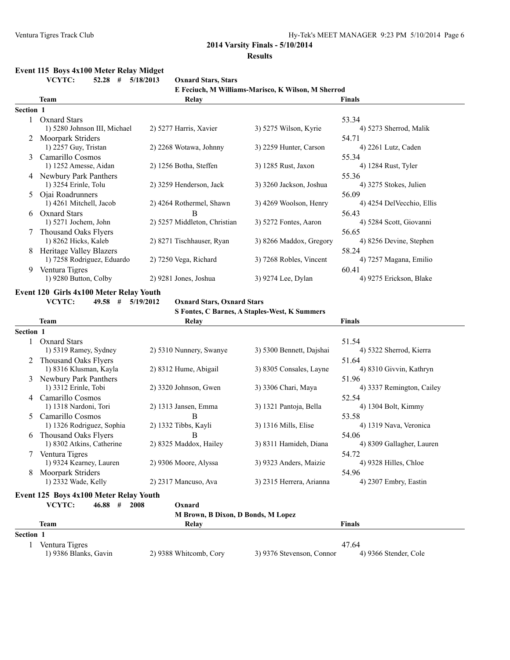## **Event 115 Boys 4x100 Meter Relay Midget**

**VCYTC: 52.28 # 5/18/2013 Oxnard Stars, Stars**

**E Feciuch, M Williams-Marisco, K Wilson, M Sherrod Team Relay Finals Section 1** 1 Oxnard Stars 53.34<br>
1) 5280 Johnson III, Michael 2) 5277 Harris, Xavier 3) 5275 Wilson, Kyrie 53.34<br>
1) 5273 Sherrod, Malik 1) 5280 Johnson III, Michael 2 Moorpark Striders 54.71<br>
1) 2257 Guy, Tristan 2) 2268 Wotawa, Johnny 3) 2259 Hunter, Carson 4) 2261 Lutz, Caden 1) 2257 Guy, Tristan 2) 2268 Wotawa, Johnny 3) 2259 Hunter, Carson 3 Camarillo Cosmos 55.34<br>
1) 1252 Amesse, Aidan 2) 1256 Botha, Steffen 3) 1285 Rust, Jaxon 4) 1284 Rust, Tyler 1) 1252 Amesse, Aidan 4 Newbury Park Panthers 55.36 1) 3254 Erinle, Tolu 2) 3259 Henderson, Jack 3) 3260 Jackson, Joshua 4) 3275 Stokes, Julien 5 Ojai Roadrunners<br>
1) 4261 Mitchell, Jacob 2) 4264 Rothermel, Shawn 3) 4269 Woolson, Henry 4) 4254 DelVecchio, Ellis 2) 4264 Rothermel, Shawn 6 Oxnard Stars B 56.43 1) 5271 Jochem, John 2) 5257 Middleton, Christian 3) 5272 Fontes, Aaron 4) 5284 Scott, Giovanni 7 Thousand Oaks Flyers 56.65<br>
1) 8262 Hicks, Kaleb 2) 8271 Tischhauser, Ryan 3) 8266 Maddox, Gregory 4) 8256 Devine, Stephen 1) 8262 Hicks, Kaleb 2) 8271 Tischhauser, Ryan 3) 8266 Maddox, Gregory 8 Heritage Valley Blazers 58.24 1) 7258 Rodriguez, Eduardo 2) 7250 Vega, Richard 3) 7268 Robles, Vincent 4) 7257 Magana, Emilio 9 Ventura Tigres 60.41 1) 9280 Button, Colby 2) 9281 Jones, Joshua 3) 9274 Lee, Dylan 4) 9275 Erickson, Blake

#### **Event 120 Girls 4x100 Meter Relay Youth**

**VCYTC: 49.58 # 5/19/2012 Oxnard Stars, Oxnard Stars**

| S Fontes, C Barnes, A Staples-West, K Summers |  |  |
|-----------------------------------------------|--|--|
|-----------------------------------------------|--|--|

|                  | <b>Team</b>                 | Relay                   |                          | Finals                    |
|------------------|-----------------------------|-------------------------|--------------------------|---------------------------|
| <b>Section 1</b> |                             |                         |                          |                           |
|                  | <b>Oxnard Stars</b>         |                         |                          | 51.54                     |
|                  | 1) 5319 Ramey, Sydney       | 2) 5310 Nunnery, Swanye | 3) 5300 Bennett, Dajshai | 4) 5322 Sherrod, Kierra   |
| 2                | Thousand Oaks Flyers        |                         |                          | 51.64                     |
|                  | 1) 8316 Klusman, Kayla      | 2) 8312 Hume, Abigail   | 3) 8305 Consales, Layne  | 4) 8310 Givvin, Kathryn   |
| 3                | Newbury Park Panthers       |                         |                          | 51.96                     |
|                  | 1) 3312 Erinle, Tobi        | $2)$ 3320 Johnson, Gwen | 3) 3306 Chari, Maya      | 4) 3337 Remington, Cailey |
| 4                | Camarillo Cosmos            |                         |                          | 52.54                     |
|                  | 1) 1318 Nardoni, Tori       | $2)$ 1313 Jansen, Emma  | 3) 1321 Pantoja, Bella   | 4) 1304 Bolt, Kimmy       |
|                  | Camarillo Cosmos            | B                       |                          | 53.58                     |
|                  | 1) 1326 Rodriguez, Sophia   | 2) 1332 Tibbs, Kayli    | 3) 1316 Mills, Elise     | 4) 1319 Nava, Veronica    |
| 6                | <b>Thousand Oaks Flyers</b> | В                       |                          | 54.06                     |
|                  | 1) 8302 Atkins, Catherine   | 2) 8325 Maddox, Hailey  | 3) 8311 Hamideh, Diana   | 4) 8309 Gallagher, Lauren |
|                  | Ventura Tigres              |                         |                          | 54.72                     |
|                  | 1) 9324 Kearney, Lauren     | 2) 9306 Moore, Alyssa   | 3) 9323 Anders, Maizie   | 4) 9328 Hilles, Chloe     |
| 8                | Moorpark Striders           |                         |                          | 54.96                     |
|                  | 1) 2332 Wade, Kelly         | 2) 2317 Mancuso, Ava    | 3) 2315 Herrera, Arianna | 4) 2307 Embry, Eastin     |

#### **Event 125 Boys 4x100 Meter Relay Youth**

|  | 2008 |  | 46.88 | VCYTC: |
|--|------|--|-------|--------|
|--|------|--|-------|--------|

**M Brown, B Dixon, D Bonds, M Lopez**

**Oxnard** 

|         | Team                  | Relav                  |                           | <b>Finals</b>         |
|---------|-----------------------|------------------------|---------------------------|-----------------------|
| Section |                       |                        |                           |                       |
|         | Ventura Tigres        |                        |                           | 47.64                 |
|         | 1) 9386 Blanks, Gavin | 2) 9388 Whitcomb, Cory | 3) 9376 Stevenson, Connor | 4) 9366 Stender, Cole |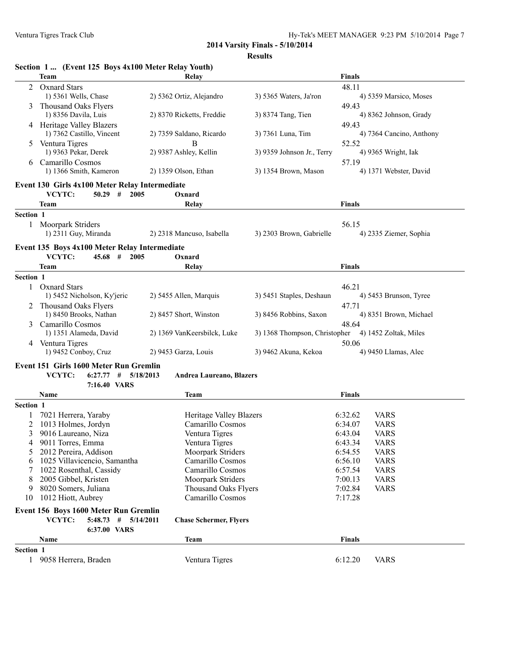**2014 Varsity Finals - 5/10/2014**

| \S11 I f |
|----------|
|----------|

|               | Section 1  (Event 125 Boys 4x100 Meter Relay Youth)                          |                                      |                               |                                                  |
|---------------|------------------------------------------------------------------------------|--------------------------------------|-------------------------------|--------------------------------------------------|
|               | <b>Team</b>                                                                  | Relay                                |                               | <b>Finals</b>                                    |
| 2             | <b>Oxnard Stars</b><br>1) 5361 Wells, Chase                                  | 2) 5362 Ortiz, Alejandro             | 3) 5365 Waters, Ja'ron        | 48.11<br>4) 5359 Marsico, Moses                  |
| 3             | Thousand Oaks Flyers<br>1) 8356 Davila, Luis                                 | 2) 8370 Ricketts, Freddie            | 3) 8374 Tang, Tien            | 49.43<br>4) 8362 Johnson, Grady                  |
|               | 4 Heritage Valley Blazers<br>1) 7362 Castillo, Vincent                       | 2) 7359 Saldano, Ricardo             | 3) 7361 Luna, Tim             | 49.43<br>4) 7364 Cancino, Anthony                |
| 5             | Ventura Tigres<br>1) 9363 Pekar, Derek                                       | В<br>2) 9387 Ashley, Kellin          | 3) 9359 Johnson Jr., Terry    | 52.52<br>4) 9365 Wright, Iak                     |
| 6             | Camarillo Cosmos<br>1) 1366 Smith, Kameron                                   | 2) 1359 Olson, Ethan                 | 3) 1354 Brown, Mason          | 57.19<br>4) 1371 Webster, David                  |
|               | Event 130 Girls 4x100 Meter Relay Intermediate                               |                                      |                               |                                                  |
|               | VCYTC:<br>$50.29$ #<br>2005                                                  | Oxnard                               |                               |                                                  |
|               | <b>Team</b>                                                                  | Relay                                |                               | <b>Finals</b>                                    |
| Section 1     |                                                                              |                                      |                               |                                                  |
|               | 1 Moorpark Striders                                                          |                                      |                               | 56.15                                            |
|               | 1) 2311 Guy, Miranda                                                         | 2) 2318 Mancuso, Isabella            | 3) 2303 Brown, Gabrielle      | 4) 2335 Ziemer, Sophia                           |
|               | Event 135 Boys 4x100 Meter Relay Intermediate<br>VCYTC:<br>$45.68$ #<br>2005 | Oxnard                               |                               |                                                  |
|               | <b>Team</b>                                                                  | Relay                                |                               | <b>Finals</b>                                    |
| Section 1     |                                                                              |                                      |                               |                                                  |
| $\mathbf{1}$  | <b>Oxnard Stars</b><br>1) 5452 Nicholson, Ky'jeric                           | 2) 5455 Allen, Marquis               | 3) 5451 Staples, Deshaun      | 46.21<br>4) 5453 Brunson, Tyree                  |
|               | 2 Thousand Oaks Flyers<br>1) 8450 Brooks, Nathan                             | 2) 8457 Short, Winston               | 3) 8456 Robbins, Saxon        | 47.71<br>4) 8351 Brown, Michael                  |
|               | Camarillo Cosmos<br>1) 1351 Alameda, David                                   | 2) 1369 VanKeersbilck, Luke          | 3) 1368 Thompson, Christopher | 48.64<br>4) 1452 Zoltak, Miles                   |
|               | 4 Ventura Tigres<br>1) 9452 Conboy, Cruz                                     | 2) 9453 Garza, Louis                 | 3) 9462 Akuna, Kekoa          | 50.06<br>4) 9450 Llamas, Alec                    |
|               | Event 151 Girls 1600 Meter Run Gremlin                                       |                                      |                               |                                                  |
|               | VCYTC:<br>$6:27.77$ # $5/18/2013$                                            | <b>Andrea Laureano, Blazers</b>      |                               |                                                  |
|               | 7:16.40 VARS                                                                 |                                      |                               |                                                  |
|               | Name                                                                         | Team                                 |                               | <b>Finals</b>                                    |
| Section 1     |                                                                              |                                      |                               |                                                  |
|               | 7021 Herrera, Yaraby                                                         | Heritage Valley Blazers              |                               | 6:32.62<br><b>VARS</b>                           |
| 2             | 1013 Holmes, Jordyn                                                          | Camarillo Cosmos                     |                               | 6:34.07<br><b>VARS</b>                           |
| $\mathcal{F}$ | 9016 Laureano, Niza                                                          | Ventura Tigres                       |                               | 6:43.04<br><b>VARS</b>                           |
|               | 9011 Torres, Emma                                                            | Ventura Tigres                       |                               | 6:43.34<br><b>VARS</b>                           |
|               | 2012 Pereira, Addison                                                        | Moorpark Striders                    |                               | 6:54.55<br><b>VARS</b>                           |
| 6             | 1025 Villavicencio, Samantha<br>1022 Rosenthal, Cassidy                      | Camarillo Cosmos<br>Camarillo Cosmos |                               | 6:56.10<br><b>VARS</b><br>6:57.54<br><b>VARS</b> |
| 8             | 2005 Gibbel, Kristen                                                         | Moorpark Striders                    |                               | 7:00.13<br><b>VARS</b>                           |
| 9             | 8020 Somers, Juliana                                                         | <b>Thousand Oaks Flyers</b>          |                               | 7:02.84<br><b>VARS</b>                           |
| 10            | 1012 Hiott, Aubrey                                                           | Camarillo Cosmos                     |                               | 7:17.28                                          |
|               | Event 156 Boys 1600 Meter Run Gremlin<br>VCYTC:<br>$5:48.73$ # $5/14/2011$   | <b>Chase Schermer, Flyers</b>        |                               |                                                  |
|               | 6:37.00 VARS                                                                 |                                      |                               |                                                  |
|               | Name                                                                         | <b>Team</b>                          |                               | <b>Finals</b>                                    |
| Section 1     | 1 9058 Herrera, Braden                                                       | Ventura Tigres                       |                               | 6:12.20<br><b>VARS</b>                           |
|               |                                                                              |                                      |                               |                                                  |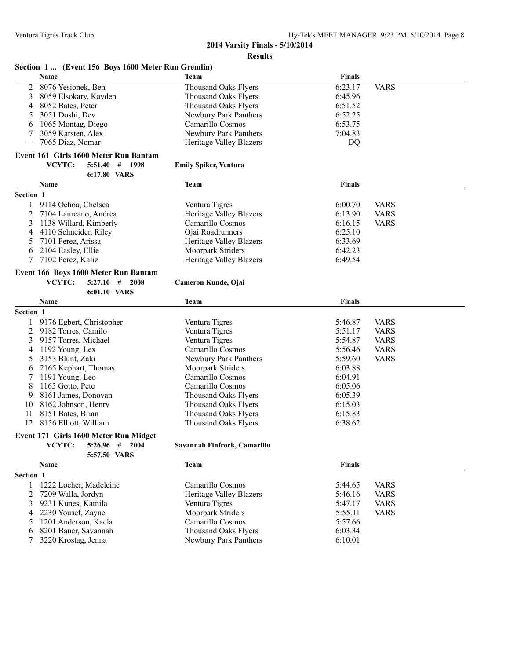#### **2014 Varsity Finals - 5/10/2014 Results**

| Section 1  (Event 156 Boys 1600 Meter Run Gremlin) |  |  |
|----------------------------------------------------|--|--|
|                                                    |  |  |

|                | эссион т. е. теленетэм долятооо месен тан сисининд<br>Name | Team                           | <b>Finals</b> |             |
|----------------|------------------------------------------------------------|--------------------------------|---------------|-------------|
| 2              | 8076 Yesionek, Ben                                         | Thousand Oaks Flyers           | 6:23.17       | <b>VARS</b> |
| 3              | 8059 Elsokary, Kayden                                      | <b>Thousand Oaks Flyers</b>    | 6:45.96       |             |
| 4              | 8052 Bates, Peter                                          | Thousand Oaks Flyers           | 6:51.52       |             |
| 5              | 3051 Doshi, Dev                                            | Newbury Park Panthers          | 6:52.25       |             |
| 6              | 1065 Montag, Diego                                         | Camarillo Cosmos               | 6:53.75       |             |
| 7              | 3059 Karsten, Alex                                         | Newbury Park Panthers          | 7:04.83       |             |
| $---$          | 7065 Diaz, Nomar                                           | Heritage Valley Blazers        | DQ            |             |
|                | Event 161 Girls 1600 Meter Run Bantam                      |                                |               |             |
|                | VCYTC:<br>$5:51.40$ # 1998                                 | <b>Emily Spiker, Ventura</b>   |               |             |
|                | 6:17.80 VARS                                               |                                |               |             |
|                | Name                                                       | Team                           | <b>Finals</b> |             |
| Section 1      |                                                            |                                |               |             |
|                |                                                            |                                |               |             |
| 1              | 9114 Ochoa, Chelsea                                        | Ventura Tigres                 | 6:00.70       | <b>VARS</b> |
| 2              | 7104 Laureano, Andrea                                      | Heritage Valley Blazers        | 6:13.90       | <b>VARS</b> |
| 3              | 1138 Willard, Kimberly                                     | Camarillo Cosmos               | 6:16.15       | <b>VARS</b> |
| 4              | 4110 Schneider, Riley                                      | Ojai Roadrunners               | 6:25.10       |             |
| 5              | 7101 Perez, Arissa                                         | <b>Heritage Valley Blazers</b> | 6:33.69       |             |
| 6              | 2104 Easley, Ellie                                         | Moorpark Striders              | 6:42.23       |             |
| 7              | 7102 Perez, Kaliz                                          | <b>Heritage Valley Blazers</b> | 6:49.54       |             |
|                | Event 166 Boys 1600 Meter Run Bantam                       |                                |               |             |
|                | VCYTC:<br>$5:27.10$ # 2008                                 | Cameron Kunde, Ojai            |               |             |
|                | 6:01.10 VARS                                               |                                |               |             |
|                | Name                                                       | <b>Team</b>                    | <b>Finals</b> |             |
| Section 1      |                                                            |                                |               |             |
| 1              | 9176 Egbert, Christopher                                   | Ventura Tigres                 | 5:46.87       | <b>VARS</b> |
| $\overline{c}$ | 9182 Torres, Camilo                                        | Ventura Tigres                 | 5:51.17       | <b>VARS</b> |
| 3              | 9157 Torres, Michael                                       | Ventura Tigres                 | 5:54.87       | <b>VARS</b> |
| 4              | 1192 Young, Lex                                            | Camarillo Cosmos               | 5:56.46       | <b>VARS</b> |
| 5              | 3153 Blunt, Zaki                                           | Newbury Park Panthers          | 5:59.60       | <b>VARS</b> |
| 6              | 2165 Kephart, Thomas                                       | Moorpark Striders              | 6:03.88       |             |
| 7              | 1191 Young, Leo                                            | Camarillo Cosmos               | 6:04.91       |             |
| 8              | 1165 Gotto, Pete                                           | Camarillo Cosmos               | 6:05.06       |             |
| 9              | 8161 James, Donovan                                        | <b>Thousand Oaks Flyers</b>    | 6:05.39       |             |
| 10             | 8162 Johnson, Henry                                        |                                | 6:15.03       |             |
|                | 8151 Bates, Brian                                          | Thousand Oaks Flyers           |               |             |
| 11             |                                                            | <b>Thousand Oaks Flyers</b>    | 6:15.83       |             |
| 12             | 8156 Elliott, William                                      | <b>Thousand Oaks Flyers</b>    | 6:38.62       |             |
|                | Event 171 Girls 1600 Meter Run Midget                      |                                |               |             |
|                | VCYTC:<br>$5:26.96$ # 2004                                 | Savannah Finfrock, Camarillo   |               |             |
|                | 5:57.50 VARS                                               |                                |               |             |
|                | <b>Name</b>                                                | <b>Team</b>                    | <b>Finals</b> |             |
| Section 1      |                                                            |                                |               |             |
| 1              | 1222 Locher, Madeleine                                     | Camarillo Cosmos               | 5:44.65       | <b>VARS</b> |
| 2              | 7209 Walla, Jordyn                                         | <b>Heritage Valley Blazers</b> | 5:46.16       | <b>VARS</b> |
| 3              | 9231 Kunes, Kamila                                         | Ventura Tigres                 | 5:47.17       | <b>VARS</b> |
| 4              | 2230 Yousef, Zayne                                         | Moorpark Striders              | 5:55.11       | <b>VARS</b> |
| 5              | 1201 Anderson, Kaela                                       | Camarillo Cosmos               | 5:57.66       |             |

6 8201 Bauer, Savannah Thousand Oaks Flyers 6:03.34

7 3220 Newbury Park Panthers 6:10.01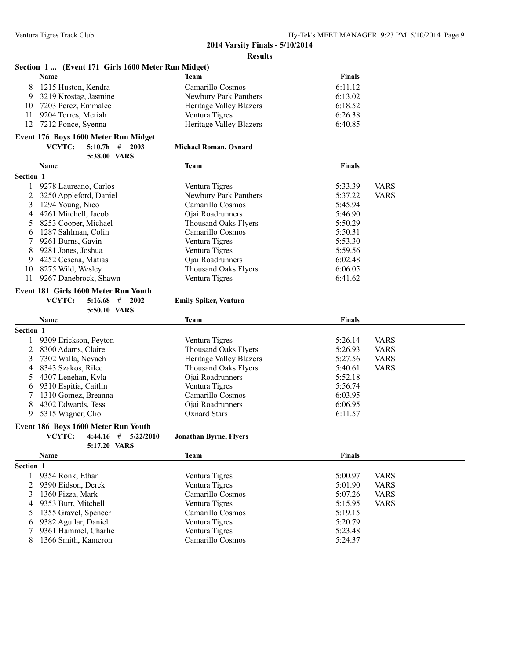|           | Section 1  (Event 171 Girls 1600 Meter Run Midget) |                                    |                    |             |
|-----------|----------------------------------------------------|------------------------------------|--------------------|-------------|
|           | Name                                               | <b>Team</b>                        | <b>Finals</b>      |             |
| 8         | 1215 Huston, Kendra                                | Camarillo Cosmos                   | 6:11.12            |             |
| 9         | 3219 Krostag, Jasmine                              | Newbury Park Panthers              | 6:13.02            |             |
| 10        | 7203 Perez, Emmalee                                | Heritage Valley Blazers            | 6:18.52            |             |
| 11        | 9204 Torres, Meriah                                | Ventura Tigres                     | 6:26.38            |             |
| 12        | 7212 Ponce, Syenna                                 | <b>Heritage Valley Blazers</b>     | 6:40.85            |             |
|           | Event 176 Boys 1600 Meter Run Midget               |                                    |                    |             |
|           | VCYTC:<br>$5:10.7h$ #<br>2003                      | Michael Roman, Oxnard              |                    |             |
|           | 5:38.00 VARS                                       |                                    |                    |             |
|           |                                                    |                                    |                    |             |
|           | Name                                               | <b>Team</b>                        | <b>Finals</b>      |             |
| Section 1 |                                                    |                                    |                    |             |
| 1         | 9278 Laureano, Carlos                              | Ventura Tigres                     | 5:33.39            | <b>VARS</b> |
| 2         | 3250 Appleford, Daniel                             | Newbury Park Panthers              | 5:37.22            | <b>VARS</b> |
| 3         | 1294 Young, Nico                                   | Camarillo Cosmos                   | 5:45.94            |             |
| 4         | 4261 Mitchell, Jacob                               | Ojai Roadrunners                   | 5:46.90            |             |
| 5         | 8253 Cooper, Michael                               | <b>Thousand Oaks Flyers</b>        | 5:50.29            |             |
| 6         | 1287 Sahlman, Colin                                | Camarillo Cosmos                   | 5:50.31            |             |
| 7         | 9261 Burns, Gavin                                  | Ventura Tigres                     | 5:53.30            |             |
| 8         | 9281 Jones, Joshua                                 | Ventura Tigres                     | 5:59.56            |             |
| 9         | 4252 Cesena, Matias                                | Ojai Roadrunners                   | 6:02.48            |             |
| 10        | 8275 Wild, Wesley                                  | <b>Thousand Oaks Flyers</b>        | 6:06.05            |             |
| 11        | 9267 Danebrock, Shawn                              | Ventura Tigres                     | 6:41.62            |             |
|           | Event 181 Girls 1600 Meter Run Youth               |                                    |                    |             |
|           | VCYTC:<br>$5:16.68$ #<br>2002                      | <b>Emily Spiker, Ventura</b>       |                    |             |
|           | 5:50.10 VARS                                       |                                    |                    |             |
|           | Name                                               | <b>Team</b>                        | <b>Finals</b>      |             |
| Section 1 |                                                    |                                    |                    |             |
| 1         | 9309 Erickson, Peyton                              | Ventura Tigres                     | 5:26.14            | <b>VARS</b> |
| 2         | 8300 Adams, Claire                                 | <b>Thousand Oaks Flyers</b>        | 5:26.93            | <b>VARS</b> |
| 3         | 7302 Walla, Nevaeh                                 | <b>Heritage Valley Blazers</b>     | 5:27.56            | <b>VARS</b> |
| 4         | 8343 Szakos, Rilee                                 | <b>Thousand Oaks Flyers</b>        | 5:40.61            | <b>VARS</b> |
| 5         | 4307 Lenehan, Kyla                                 | Ojai Roadrunners                   | 5:52.18            |             |
| 6         | 9310 Espitia, Caitlin                              | Ventura Tigres                     | 5:56.74            |             |
| 7         | 1310 Gomez, Breanna                                | Camarillo Cosmos                   | 6:03.95            |             |
| 8         | 4302 Edwards, Tess                                 | Ojai Roadrunners                   | 6:06.95            |             |
| 9         | 5315 Wagner, Clio                                  | <b>Oxnard Stars</b>                | 6:11.57            |             |
|           |                                                    |                                    |                    |             |
|           | Event 186 Boys 1600 Meter Run Youth                |                                    |                    |             |
|           | VCYTC: $4:44.16$ # $5/22/2010$                     | <b>Jonathan Byrne, Flyers</b>      |                    |             |
|           | 5:17.20 VARS                                       |                                    |                    |             |
|           | Name                                               | <b>Team</b>                        | <b>Finals</b>      |             |
| Section 1 |                                                    |                                    |                    |             |
| 1         | 9354 Ronk, Ethan                                   | Ventura Tigres                     | 5:00.97            | <b>VARS</b> |
| 2         | 9390 Eidson, Derek                                 | Ventura Tigres                     | 5:01.90            | <b>VARS</b> |
| 3         | 1360 Pizza, Mark                                   | Camarillo Cosmos                   | 5:07.26            | <b>VARS</b> |
| 4         | 9353 Burr, Mitchell                                | Ventura Tigres                     | 5:15.95            | <b>VARS</b> |
| 5         |                                                    | Camarillo Cosmos                   | 5:19.15            |             |
|           | 1355 Gravel, Spencer                               |                                    |                    |             |
| 6         | 9382 Aguilar, Daniel                               | Ventura Tigres                     | 5:20.79            |             |
| 7<br>8    | 9361 Hammel, Charlie<br>1366 Smith, Kameron        | Ventura Tigres<br>Camarillo Cosmos | 5:23.48<br>5:24.37 |             |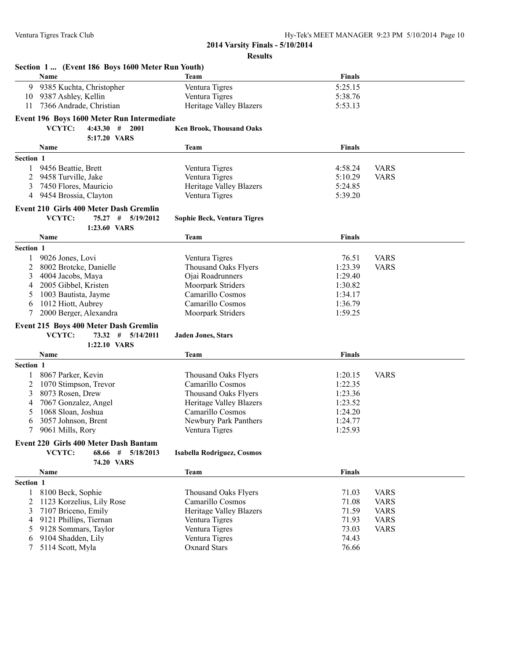|           | Section 1  (Event 186 Boys 1600 Meter Run Youth) |                                 |               |             |
|-----------|--------------------------------------------------|---------------------------------|---------------|-------------|
|           | Name                                             | Team                            | <b>Finals</b> |             |
| 9         | 9385 Kuchta, Christopher                         | Ventura Tigres                  | 5:25.15       |             |
| 10        | 9387 Ashley, Kellin                              | Ventura Tigres                  | 5:38.76       |             |
| 11        | 7366 Andrade, Christian                          | Heritage Valley Blazers         | 5:53.13       |             |
|           | Event 196 Boys 1600 Meter Run Intermediate       |                                 |               |             |
|           | VCYTC:<br>$4:43.30$ # 2001                       |                                 |               |             |
|           |                                                  | <b>Ken Brook, Thousand Oaks</b> |               |             |
|           | 5:17.20 VARS                                     |                                 |               |             |
|           | <b>Name</b>                                      | Team                            | <b>Finals</b> |             |
| Section 1 |                                                  |                                 |               |             |
| 1         | 9456 Beattie, Brett                              | Ventura Tigres                  | 4:58.24       | <b>VARS</b> |
| 2         | 9458 Turville, Jake                              | Ventura Tigres                  | 5:10.29       | <b>VARS</b> |
| 3         | 7450 Flores, Mauricio                            | Heritage Valley Blazers         | 5:24.85       |             |
| 4         | 9454 Brossia, Clayton                            | Ventura Tigres                  | 5:39.20       |             |
|           | Event 210 Girls 400 Meter Dash Gremlin           |                                 |               |             |
|           | VCYTC:<br>75.27 # 5/19/2012                      | Sophie Beck, Ventura Tigres     |               |             |
|           | 1:23.60 VARS                                     |                                 |               |             |
|           | Name                                             | Team                            | <b>Finals</b> |             |
| Section 1 |                                                  |                                 |               |             |
| 1         | 9026 Jones, Lovi                                 | Ventura Tigres                  | 76.51         | <b>VARS</b> |
| 2         | 8002 Brotcke, Danielle                           | <b>Thousand Oaks Flyers</b>     | 1:23.39       | <b>VARS</b> |
| 3         | 4004 Jacobs, Maya                                | Ojai Roadrunners                | 1:29.40       |             |
| 4         | 2005 Gibbel, Kristen                             | Moorpark Striders               | 1:30.82       |             |
| 5         | 1003 Bautista, Jayme                             | Camarillo Cosmos                | 1:34.17       |             |
| 6         | 1012 Hiott, Aubrey                               | Camarillo Cosmos                | 1:36.79       |             |
| 7         | 2000 Berger, Alexandra                           | Moorpark Striders               | 1:59.25       |             |
|           |                                                  |                                 |               |             |
|           | Event 215 Boys 400 Meter Dash Gremlin            |                                 |               |             |
|           | VCYTC:<br>73.32#<br>5/14/2011                    | <b>Jaden Jones, Stars</b>       |               |             |
|           | 1:22.10 VARS                                     |                                 |               |             |
|           | Name                                             | Team                            | <b>Finals</b> |             |
| Section 1 |                                                  |                                 |               |             |
| 1         | 8067 Parker, Kevin                               | <b>Thousand Oaks Flyers</b>     | 1:20.15       | <b>VARS</b> |
| 2         | 1070 Stimpson, Trevor                            | Camarillo Cosmos                | 1:22.35       |             |
| 3         | 8073 Rosen, Drew                                 | <b>Thousand Oaks Flyers</b>     | 1:23.36       |             |
| 4         | 7067 Gonzalez, Angel                             | Heritage Valley Blazers         | 1:23.52       |             |
| 5         | 1068 Sloan, Joshua                               | Camarillo Cosmos                | 1:24.20       |             |
| 6         | 3057 Johnson, Brent                              | Newbury Park Panthers           | 1:24.77       |             |
| 7         | 9061 Mills, Rory                                 | Ventura Tigres                  | 1:25.93       |             |
|           | <b>Event 220 Girls 400 Meter Dash Bantam</b>     |                                 |               |             |
|           | VCYTC:<br>68.66<br>$\#$ 5/18/2013                | Isabella Rodriguez, Cosmos      |               |             |
|           | 74.20 VARS                                       |                                 |               |             |
|           | Name                                             | <b>Team</b>                     | <b>Finals</b> |             |
| Section 1 |                                                  |                                 |               |             |
|           | 8100 Beck, Sophie                                | <b>Thousand Oaks Flyers</b>     | 71.03         | <b>VARS</b> |
| 1         | 1123 Korzelius, Lily Rose                        | Camarillo Cosmos                | 71.08         |             |
| 2         |                                                  | <b>Heritage Valley Blazers</b>  | 71.59         | <b>VARS</b> |
| 3         | 7107 Briceno, Emily                              |                                 |               | <b>VARS</b> |
| 4         | 9121 Phillips, Tiernan                           | Ventura Tigres                  | 71.93         | <b>VARS</b> |
| 5         | 9128 Sommars, Taylor                             | Ventura Tigres                  | 73.03         | <b>VARS</b> |
| 6         | 9104 Shadden, Lily                               | Ventura Tigres                  | 74.43         |             |
| 7         | 5114 Scott, Myla                                 | <b>Oxnard Stars</b>             | 76.66         |             |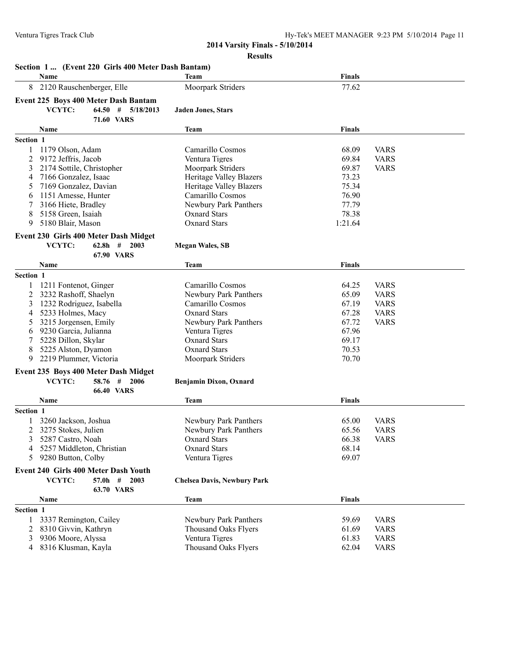|           | <b>Name</b>                                    |                                       | Team                                | <b>Finals</b> |             |
|-----------|------------------------------------------------|---------------------------------------|-------------------------------------|---------------|-------------|
| 8         | 2120 Rauschenberger, Elle                      |                                       | Moorpark Striders                   | 77.62         |             |
|           |                                                | Event 225 Boys 400 Meter Dash Bantam  |                                     |               |             |
|           | VCYTC:                                         | $64.50$ # $5/18/2013$                 | <b>Jaden Jones, Stars</b>           |               |             |
|           |                                                | <b>71.60 VARS</b>                     |                                     |               |             |
|           | Name                                           |                                       | Team                                | <b>Finals</b> |             |
| Section 1 |                                                |                                       |                                     |               |             |
| 1         | 1179 Olson, Adam                               |                                       | Camarillo Cosmos                    | 68.09         | <b>VARS</b> |
| 2         | 9172 Jeffris, Jacob                            |                                       | Ventura Tigres                      | 69.84         | <b>VARS</b> |
| 3         | 2174 Sottile, Christopher                      |                                       | Moorpark Striders                   | 69.87         | <b>VARS</b> |
| 4         | 7166 Gonzalez, Isaac                           |                                       | <b>Heritage Valley Blazers</b>      | 73.23         |             |
| 5         | 7169 Gonzalez, Davian                          |                                       | <b>Heritage Valley Blazers</b>      | 75.34         |             |
| 6         | 1151 Amesse, Hunter                            |                                       | Camarillo Cosmos                    | 76.90         |             |
| 7         | 3166 Hiete, Bradley                            |                                       | Newbury Park Panthers               | 77.79         |             |
| 8         | 5158 Green, Isaiah                             |                                       | <b>Oxnard Stars</b>                 | 78.38         |             |
| 9         | 5180 Blair, Mason                              |                                       | <b>Oxnard Stars</b>                 | 1:21.64       |             |
|           |                                                |                                       |                                     |               |             |
|           |                                                | Event 230 Girls 400 Meter Dash Midget |                                     |               |             |
|           | VCYTC:                                         | $62.8h$ # 2003                        | <b>Megan Wales, SB</b>              |               |             |
|           |                                                | <b>67.90 VARS</b>                     |                                     |               |             |
|           | Name                                           |                                       | Team                                | <b>Finals</b> |             |
| Section 1 |                                                |                                       |                                     |               |             |
|           | 1211 Fontenot, Ginger                          |                                       | Camarillo Cosmos                    | 64.25         | <b>VARS</b> |
| 2         | 3232 Rashoff, Shaelyn                          |                                       | Newbury Park Panthers               | 65.09         | <b>VARS</b> |
| 3         | 1232 Rodriguez, Isabella                       |                                       | Camarillo Cosmos                    | 67.19         | <b>VARS</b> |
| 4         | 5233 Holmes, Macy                              |                                       | <b>Oxnard Stars</b>                 | 67.28         | <b>VARS</b> |
| 5         | 3215 Jorgensen, Emily                          |                                       | Newbury Park Panthers               | 67.72         | <b>VARS</b> |
| 6         | 9230 Garcia, Julianna                          |                                       | Ventura Tigres                      | 67.96         |             |
| 7         | 5228 Dillon, Skylar                            |                                       | <b>Oxnard Stars</b>                 | 69.17         |             |
| 8         | 5225 Alston, Dyamon                            |                                       | <b>Oxnard Stars</b>                 | 70.53         |             |
| 9         | 2219 Plummer, Victoria                         |                                       | Moorpark Striders                   | 70.70         |             |
|           |                                                | Event 235 Boys 400 Meter Dash Midget  |                                     |               |             |
|           | VCYTC:                                         | $58.76$ # 2006                        | Benjamin Dixon, Oxnard              |               |             |
|           |                                                | <b>66.40 VARS</b>                     |                                     |               |             |
|           | Name                                           |                                       | Team                                | <b>Finals</b> |             |
| Section 1 |                                                |                                       |                                     |               |             |
|           | 3260 Jackson, Joshua                           |                                       | <b>Newbury Park Panthers</b>        | 65.00         | <b>VARS</b> |
| 2         | 3275 Stokes, Julien                            |                                       | Newbury Park Panthers               | 65.56         | <b>VARS</b> |
|           |                                                |                                       |                                     | 66.38         | <b>VARS</b> |
| 3<br>4    | 5287 Castro, Noah<br>5257 Middleton, Christian |                                       | Oxnard Stars<br><b>Oxnard Stars</b> | 68.14         |             |
| 5.        | 9280 Button, Colby                             |                                       | Ventura Tigres                      | 69.07         |             |
|           |                                                |                                       |                                     |               |             |
|           |                                                | Event 240 Girls 400 Meter Dash Youth  |                                     |               |             |
|           | VCYTC:                                         | $57.0h$ # 2003                        | <b>Chelsea Davis, Newbury Park</b>  |               |             |
|           |                                                | <b>63.70 VARS</b>                     |                                     |               |             |
|           | Name                                           |                                       | <b>Team</b>                         | <b>Finals</b> |             |
| Section 1 |                                                |                                       |                                     |               |             |
|           | 3337 Remington, Cailey                         |                                       | Newbury Park Panthers               | 59.69         | <b>VARS</b> |
| 2         | 8310 Givvin, Kathryn                           |                                       | <b>Thousand Oaks Flyers</b>         | 61.69         | <b>VARS</b> |
| 3         | 9306 Moore, Alyssa                             |                                       | Ventura Tigres                      | 61.83         | <b>VARS</b> |
| 4         | 8316 Klusman, Kayla                            |                                       | <b>Thousand Oaks Flyers</b>         | 62.04         | <b>VARS</b> |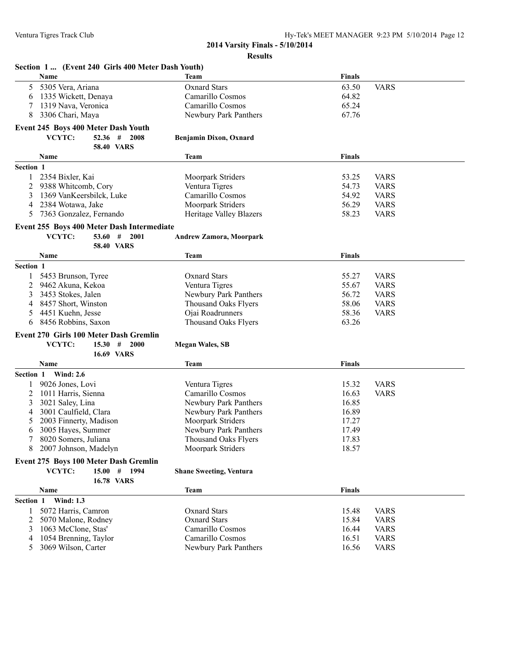|           | Section 1  (Event 240 Girls 400 Meter Dash Youth) |                                           |                |                            |
|-----------|---------------------------------------------------|-------------------------------------------|----------------|----------------------------|
|           | Name                                              | Team                                      | <b>Finals</b>  |                            |
| 5         | 5305 Vera, Ariana                                 | <b>Oxnard Stars</b>                       | 63.50          | <b>VARS</b>                |
| 6         | 1335 Wickett, Denaya                              | Camarillo Cosmos                          | 64.82          |                            |
| 7         | 1319 Nava, Veronica                               | Camarillo Cosmos                          | 65.24          |                            |
| 8         | 3306 Chari, Maya                                  | Newbury Park Panthers                     | 67.76          |                            |
|           | Event 245 Boys 400 Meter Dash Youth               |                                           |                |                            |
|           | VCYTC:<br>$52.36$ #<br>2008                       | Benjamin Dixon, Oxnard                    |                |                            |
|           | <b>58.40 VARS</b>                                 |                                           |                |                            |
|           | Name                                              | Team                                      | <b>Finals</b>  |                            |
|           |                                                   |                                           |                |                            |
| Section 1 |                                                   |                                           |                |                            |
|           | 2354 Bixler, Kai                                  | Moorpark Striders                         | 53.25          | <b>VARS</b>                |
| 2         | 9388 Whitcomb, Cory                               | Ventura Tigres                            | 54.73          | <b>VARS</b>                |
| 3         | 1369 VanKeersbilck, Luke                          | Camarillo Cosmos                          | 54.92          | <b>VARS</b>                |
| 4         | 2384 Wotawa, Jake                                 | Moorpark Striders                         | 56.29          | <b>VARS</b>                |
| 5         | 7363 Gonzalez, Fernando                           | Heritage Valley Blazers                   | 58.23          | <b>VARS</b>                |
|           | Event 255 Boys 400 Meter Dash Intermediate        |                                           |                |                            |
|           | VCYTC:<br>53.60#<br>2001                          | <b>Andrew Zamora, Moorpark</b>            |                |                            |
|           | <b>58.40 VARS</b>                                 |                                           |                |                            |
|           | Name                                              | <b>Team</b>                               | <b>Finals</b>  |                            |
| Section 1 |                                                   |                                           |                |                            |
| 1         | 5453 Brunson, Tyree                               | <b>Oxnard Stars</b>                       | 55.27          | <b>VARS</b>                |
| 2         | 9462 Akuna, Kekoa                                 | Ventura Tigres                            | 55.67          | <b>VARS</b>                |
| 3         | 3453 Stokes, Jalen                                | Newbury Park Panthers                     | 56.72          | <b>VARS</b>                |
| 4         | 8457 Short, Winston                               | <b>Thousand Oaks Flyers</b>               | 58.06          | <b>VARS</b>                |
| 5         | 4451 Kuehn, Jesse                                 | Ojai Roadrunners                          | 58.36          | <b>VARS</b>                |
| 6         | 8456 Robbins, Saxon                               | <b>Thousand Oaks Flyers</b>               | 63.26          |                            |
|           |                                                   |                                           |                |                            |
|           | Event 270 Girls 100 Meter Dash Gremlin            |                                           |                |                            |
|           | VCYTC:<br>$15.30$ # 2000                          | <b>Megan Wales, SB</b>                    |                |                            |
|           | <b>16.69 VARS</b>                                 |                                           |                |                            |
|           | Name                                              | <b>Team</b>                               | <b>Finals</b>  |                            |
| Section 1 | <b>Wind: 2.6</b>                                  |                                           |                |                            |
|           | 9026 Jones, Lovi                                  | Ventura Tigres                            | 15.32          | <b>VARS</b>                |
| 2         | 1011 Harris, Sienna                               | Camarillo Cosmos                          | 16.63          | <b>VARS</b>                |
| 3         | 3021 Saley, Lina                                  | Newbury Park Panthers                     | 16.85          |                            |
| 4         | 3001 Caulfield, Clara                             | Newbury Park Panthers                     | 16.89          |                            |
| 5         | 2003 Finnerty, Madison                            | Moorpark Striders                         | 17.27          |                            |
| 6         | 3005 Hayes, Summer                                | Newbury Park Panthers                     | 17.49          |                            |
|           | 8020 Somers, Juliana                              | Thousand Oaks Flyers                      | 17.83          |                            |
| 8         | 2007 Johnson, Madelyn                             | Moorpark Striders                         | 18.57          |                            |
|           | Event 275 Boys 100 Meter Dash Gremlin             |                                           |                |                            |
|           | 15.00#<br>VCYTC:<br>1994                          | <b>Shane Sweeting, Ventura</b>            |                |                            |
|           | <b>16.78 VARS</b>                                 |                                           |                |                            |
|           | Name                                              | <b>Team</b>                               | <b>Finals</b>  |                            |
| Section 1 | <b>Wind: 1.3</b>                                  |                                           |                |                            |
| 1         |                                                   | <b>Oxnard Stars</b>                       |                | <b>VARS</b>                |
|           | 5072 Harris, Camron                               |                                           | 15.48          |                            |
| 2         | 5070 Malone, Rodney<br>1063 McClone, Stas'        | <b>Oxnard Stars</b>                       | 15.84          | <b>VARS</b>                |
| 3         | 1054 Brenning, Taylor                             | Camarillo Cosmos                          | 16.44          | <b>VARS</b><br><b>VARS</b> |
| 4<br>5    | 3069 Wilson, Carter                               | Camarillo Cosmos<br>Newbury Park Panthers | 16.51<br>16.56 | <b>VARS</b>                |
|           |                                                   |                                           |                |                            |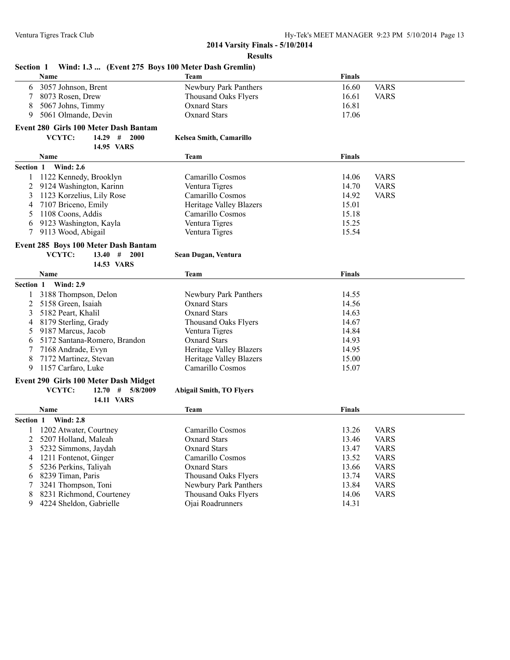| Wind: 1.3  (Event 275 Boys 100 Meter Dash Gremlin)<br><b>Section 1</b> |                                 |               |             |
|------------------------------------------------------------------------|---------------------------------|---------------|-------------|
| <b>Name</b>                                                            | Team                            | <b>Finals</b> |             |
| 3057 Johnson, Brent<br>6                                               | Newbury Park Panthers           | 16.60         | <b>VARS</b> |
| 8073 Rosen, Drew<br>7                                                  | <b>Thousand Oaks Flyers</b>     | 16.61         | <b>VARS</b> |
| 5067 Johns, Timmy<br>8                                                 | <b>Oxnard Stars</b>             | 16.81         |             |
| 5061 Olmande, Devin<br>9                                               | <b>Oxnard Stars</b>             | 17.06         |             |
| <b>Event 280 Girls 100 Meter Dash Bantam</b>                           |                                 |               |             |
| VCYTC:<br>$14.29$ # 2000                                               | <b>Kelsea Smith, Camarillo</b>  |               |             |
| 14.95 VARS                                                             |                                 |               |             |
| Name                                                                   | Team                            | <b>Finals</b> |             |
| Section 1<br><b>Wind: 2.6</b>                                          |                                 |               |             |
| 1122 Kennedy, Brooklyn<br>1                                            | Camarillo Cosmos                | 14.06         | <b>VARS</b> |
| 2<br>9124 Washington, Karinn                                           | Ventura Tigres                  | 14.70         | <b>VARS</b> |
| 1123 Korzelius, Lily Rose<br>3                                         | Camarillo Cosmos                | 14.92         | <b>VARS</b> |
| 7107 Briceno, Emily<br>4                                               | <b>Heritage Valley Blazers</b>  | 15.01         |             |
| 1108 Coons, Addis<br>5                                                 | Camarillo Cosmos                | 15.18         |             |
| 9123 Washington, Kayla<br>6                                            | Ventura Tigres                  | 15.25         |             |
| 7<br>9113 Wood, Abigail                                                | Ventura Tigres                  | 15.54         |             |
| Event 285 Boys 100 Meter Dash Bantam                                   |                                 |               |             |
| VCYTC:<br>13.40#<br>2001                                               | Sean Dugan, Ventura             |               |             |
| 14.53 VARS                                                             |                                 |               |             |
| Name                                                                   | Team                            | Finals        |             |
| Section 1 Wind: 2.9                                                    |                                 |               |             |
| 3188 Thompson, Delon<br>1                                              | Newbury Park Panthers           | 14.55         |             |
| 5158 Green, Isaiah<br>2                                                | <b>Oxnard Stars</b>             | 14.56         |             |
| 5182 Peart, Khalil<br>3                                                | <b>Oxnard Stars</b>             | 14.63         |             |
| 8179 Sterling, Grady<br>4                                              | <b>Thousand Oaks Flyers</b>     | 14.67         |             |
| 9187 Marcus, Jacob<br>5                                                | Ventura Tigres                  | 14.84         |             |
| 5172 Santana-Romero, Brandon<br>6                                      | <b>Oxnard Stars</b>             | 14.93         |             |
| 7168 Andrade, Evyn<br>7                                                | Heritage Valley Blazers         | 14.95         |             |
| 8<br>7172 Martinez, Stevan                                             | <b>Heritage Valley Blazers</b>  | 15.00         |             |
| 9<br>1157 Carfaro, Luke                                                | Camarillo Cosmos                | 15.07         |             |
| Event 290 Girls 100 Meter Dash Midget                                  |                                 |               |             |
| VCYTC:<br>12.70#<br>5/8/2009                                           | <b>Abigail Smith, TO Flyers</b> |               |             |
| <b>14.11 VARS</b>                                                      |                                 |               |             |
| Name                                                                   | <b>Team</b>                     | <b>Finals</b> |             |
| <b>Wind: 2.8</b><br>Section 1                                          |                                 |               |             |
| 1202 Atwater, Courtney                                                 | Camarillo Cosmos                | 13.26         | <b>VARS</b> |
| 5207 Holland, Maleah<br>2                                              | <b>Oxnard Stars</b>             | 13.46         | <b>VARS</b> |
| 3<br>5232 Simmons, Jaydah                                              | <b>Oxnard Stars</b>             | 13.47         | <b>VARS</b> |
| 1211 Fontenot, Ginger<br>4                                             | Camarillo Cosmos                | 13.52         | <b>VARS</b> |
| 5236 Perkins, Taliyah<br>5                                             | <b>Oxnard Stars</b>             | 13.66         | <b>VARS</b> |
| 8239 Timan, Paris<br>6                                                 | Thousand Oaks Flyers            | 13.74         | <b>VARS</b> |
| 3241 Thompson, Toni<br>7                                               | Newbury Park Panthers           | 13.84         | <b>VARS</b> |
| 8<br>8231 Richmond, Courteney                                          | Thousand Oaks Flyers            | 14.06         | <b>VARS</b> |
| 4224 Sheldon, Gabrielle<br>9                                           | Ojai Roadrunners                | 14.31         |             |
|                                                                        |                                 |               |             |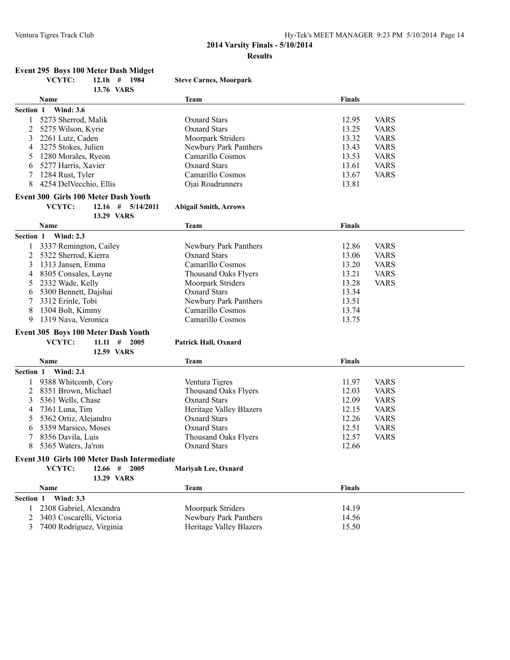## **Event 295 Boys 100 Meter Dash Midget**

|                | Event 295 Boys Too Meter Dasn Midget |                               |               |             |
|----------------|--------------------------------------|-------------------------------|---------------|-------------|
|                | VCYTC:<br>12.1h # 1984<br>13.76 VARS | <b>Steve Carnes, Moorpark</b> |               |             |
|                | <b>Name</b>                          | <b>Team</b>                   | <b>Finals</b> |             |
| Section 1      | <b>Wind: 3.6</b>                     |                               |               |             |
|                | 5273 Sherrod, Malik                  | Oxnard Stars                  | 12.95         | <b>VARS</b> |
| $\overline{2}$ | 5275 Wilson, Kyrie                   | <b>Oxnard Stars</b>           | 13.25         | <b>VARS</b> |
| 3              | 2261 Lutz, Caden                     | <b>Moorpark Striders</b>      | 13.32         | <b>VARS</b> |
| 4              | 3275 Stokes, Julien                  | Newbury Park Panthers         | 13.43         | <b>VARS</b> |
| 5              | 1280 Morales, Ryeon                  | Camarillo Cosmos              | 13.53         | <b>VARS</b> |
| 6              | 5277 Harris, Xavier                  | Oxnard Stars                  | 13.61         | <b>VARS</b> |
|                | 1284 Rust, Tyler                     | Camarillo Cosmos              | 13.67         | <b>VARS</b> |
| 8              | 4254 DelVecchio, Ellis               | Ojai Roadrunners              | 13.81         |             |
|                | Event 300 Girls 100 Meter Dash Youth |                               |               |             |
|                | VCYTC:<br>$12.16$ # $5/14/2011$      | <b>Abigail Smith, Arrows</b>  |               |             |
|                | 13.29 VARS                           |                               |               |             |
|                | <b>Name</b>                          | <b>Team</b>                   | <b>Finals</b> |             |
| Section 1      | <b>Wind: 2.3</b>                     |                               |               |             |
|                | 3337 Remington, Cailey               | Newbury Park Panthers         | 12.86         | <b>VARS</b> |
| 2              | 5322 Sherrod, Kierra                 | <b>Oxnard Stars</b>           | 13.06         | <b>VARS</b> |
| 3              | 1313 Jansen, Emma                    | Camarillo Cosmos              | 13.20         | <b>VARS</b> |
| 4              | 8305 Consales, Layne                 | <b>Thousand Oaks Flyers</b>   | 13.21         | <b>VARS</b> |
| 5              | 2332 Wade, Kelly                     | Moorpark Striders             | 13.28         | <b>VARS</b> |
| 6              | 5300 Bennett, Dajshai                | <b>Oxnard Stars</b>           | 13.34         |             |
| 7              | 3312 Erinle, Tobi                    | Newbury Park Panthers         | 13.51         |             |
| 8              | 1304 Bolt, Kimmy                     | Camarillo Cosmos              | 13.74         |             |
| 9              | 1319 Nava, Veronica                  | Camarillo Cosmos              | 13.75         |             |
|                | Event 305 Boys 100 Meter Dash Youth  |                               |               |             |
|                | VCYTC:<br>$11.11 \quad # \quad 2005$ | <b>Patrick Hall, Oxnard</b>   |               |             |
|                | 12.59 VARS                           |                               |               |             |
|                | <b>Name</b>                          | <b>Team</b>                   | <b>Finals</b> |             |
| Section 1      | <b>Wind: 2.1</b>                     |                               |               |             |
|                | 9388 Whitcomb, Cory                  | Ventura Tigres                | 11.97         | <b>VARS</b> |
| 2              | 8351 Brown, Michael                  | <b>Thousand Oaks Flyers</b>   | 12.03         | <b>VARS</b> |
| 3              | 5361 Wells, Chase                    | <b>Oxnard Stars</b>           | 12.09         | <b>VARS</b> |
| 4              | 7361 Luna, Tim                       | Heritage Valley Blazers       | 12.15         | <b>VARS</b> |

**Name Finals Finals Finals Finals Finals Finals Finals Section 1 Wind: 3.3**

**Event 310 Girls 100 Meter Dash Intermediate**

**13.29 VARS**

**VCYTC: 12.66 # 2005 Mariyah Lee, Oxnard**

| e <b>ction l</b> | Wind: 3.3                   |                         |       |
|------------------|-----------------------------|-------------------------|-------|
|                  | . 2308 Gabriel, Alexandra   | Moorpark Striders       | 14.19 |
|                  | 2 3403 Coscarelli. Victoria | Newbury Park Panthers   | 14.56 |
|                  | 3 7400 Rodriguez, Virginia  | Heritage Valley Blazers | 15.50 |

5 5362 Ortiz, Alejandro Oxnard Stars 12.26 VARS 6 5359 Marsico, Moses Cxnard Stars 12.51 VARS<br>
7 8356 Davila, Luis Thousand Oaks Flyers 12.57 VARS Thousand Oaks Flyers<br>Oxnard Stars

8 5365 Waters, Ja'ron Oxnard Stars 12.66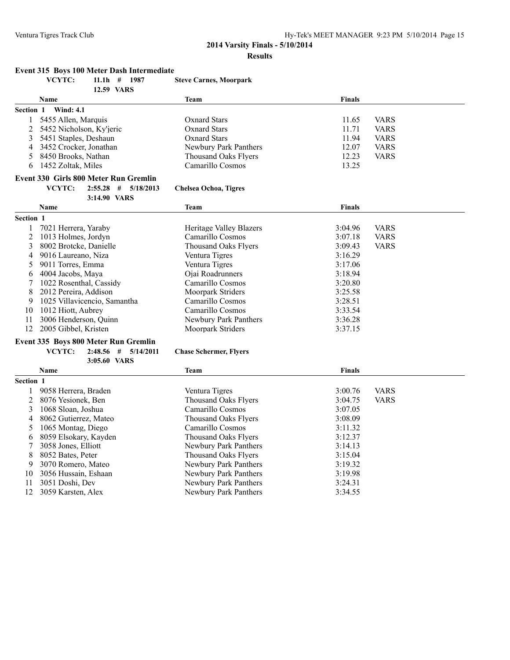**Event 315 Boys 100 Meter Dash Intermediate**

## **2014 Varsity Finals - 5/10/2014 Results**

#### **VCYTC: 11.1h # 1987 Steve Carnes, Moorpark 12.59 VARS Name Team Finals Section 1 Wind: 4.1** 1 5455 Allen, Marquis 11.65 VARS<br>2 5452 Nicholson, Ky'jeric 11.71 VARS<br>2 5452 Nicholson, Ky'jeric 0xnard Stars 11.71 VARS 2 5452 Nicholson, Ky'jeric Oxnard Stars 11.71 VARS 3 5451 Staples, Deshaun Oxnard Stars 11.94 VARS 4 3452 Crocker, Jonathan Newbury Park Panthers 12.07 VARS 5 8450 Brooks, Nathan 12.23 VARS<br>
6 1452 Zoltak, Miles Camarillo Cosmos 13.25 6 1452 Zoltak, Miles **Event 330 Girls 800 Meter Run Gremlin VCYTC: 2:55.28 # 5/18/2013 Chelsea Ochoa, Tigres 3:14.90 VARS Name Team Finals Section 1** 1 7021 Herrera, Yaraby Heritage Valley Blazers 3:04.96 VARS 2 1013 Holmes, Jordyn Camarillo Cosmos 3:07.18 VARS 3 8002 Brotcke, Danielle Thousand Oaks Flyers 3:09.43 VARS 4 9016 Laureano, Niza Ventura Tigres 3:16.29 5 9011 Torres, Emma Ventura Tigres 3:17.06<br>6 4004 Jacobs, Maya (2014) Ojai Roadrunners 3:18.94 6 4004 Jacobs, Maya Ojai Roadrunners 3:18.94 7 1022 Rosenthal, Cassidy Camarillo Cosmos 3:20.80 8 2012 Pereira, Addison Moorpark Striders 3:25.58 9 1025 Villavicencio, Samantha Camarillo Cosmos 3:28.51 10 1012 Hiott, Aubrey Camarillo Cosmos 3:33.54 11 3006 Henderson, Quinn Newbury Park Panthers 3:36.28 12 2005 Gibbel, Kristen Moorpark Striders 3:37.15

#### **Event 335 Boys 800 Meter Run Gremlin**

**3:05.60 VARS**

**VCYTC: 2:48.56 # 5/14/2011 Chase Schermer, Flyers**

|           | <b>Name</b>           | Team                        | <b>Finals</b> |             |
|-----------|-----------------------|-----------------------------|---------------|-------------|
| Section 1 |                       |                             |               |             |
|           | 9058 Herrera, Braden  | Ventura Tigres              | 3:00.76       | <b>VARS</b> |
|           | 2 8076 Yesionek, Ben  | <b>Thousand Oaks Flyers</b> | 3:04.75       | <b>VARS</b> |
|           | 1068 Sloan, Joshua    | Camarillo Cosmos            | 3:07.05       |             |
| 4         | 8062 Gutierrez, Mateo | Thousand Oaks Flvers        | 3:08.09       |             |
|           | 1065 Montag, Diego    | Camarillo Cosmos            | 3:11.32       |             |
| 6         | 8059 Elsokary, Kayden | Thousand Oaks Flvers        | 3:12.37       |             |
|           | 3058 Jones, Elliott   | Newbury Park Panthers       | 3:14.13       |             |
| 8         | 8052 Bates, Peter     | <b>Thousand Oaks Flyers</b> | 3:15.04       |             |
| 9         | 3070 Romero, Mateo    | Newbury Park Panthers       | 3:19.32       |             |
| 10        | 3056 Hussain, Eshaan  | Newbury Park Panthers       | 3:19.98       |             |
| 11        | 3051 Doshi, Dev       | Newbury Park Panthers       | 3:24.31       |             |
| 12.       | 3059 Karsten, Alex    | Newbury Park Panthers       | 3:34.55       |             |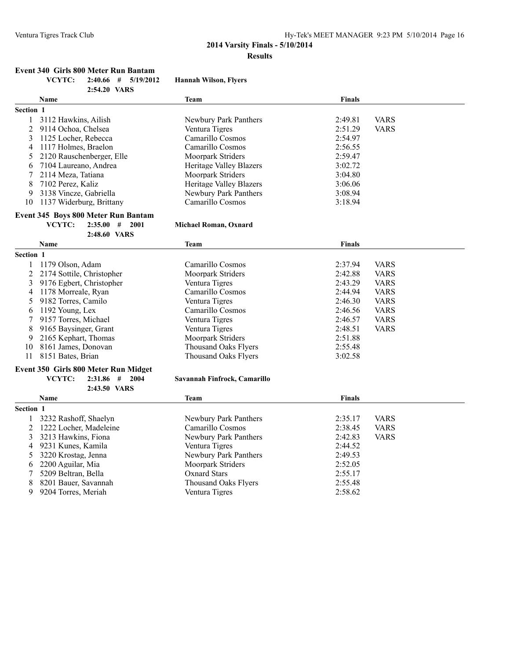#### **Event 340 Girls 800 Meter Run Bantam**

|  | VCYTC: |  |  | $2:40.66$ # $5/19/2012$ | <b>Hannah Wilson, Flyers</b> |  |
|--|--------|--|--|-------------------------|------------------------------|--|
|--|--------|--|--|-------------------------|------------------------------|--|

|                  | 2:54.20 VARS                |                         |               |             |
|------------------|-----------------------------|-------------------------|---------------|-------------|
|                  | <b>Name</b>                 | Team                    | <b>Finals</b> |             |
| <b>Section 1</b> |                             |                         |               |             |
|                  | 3112 Hawkins, Ailish        | Newbury Park Panthers   | 2:49.81       | <b>VARS</b> |
|                  | 2 9114 Ochoa, Chelsea       | Ventura Tigres          | 2:51.29       | <b>VARS</b> |
|                  | 1125 Locher, Rebecca        | Camarillo Cosmos        | 2:54.97       |             |
| 4                | 1117 Holmes, Braelon        | Camarillo Cosmos        | 2:56.55       |             |
|                  | 5 2120 Rauschenberger, Elle | Moorpark Striders       | 2:59.47       |             |
| 6                | 7104 Laureano, Andrea       | Heritage Valley Blazers | 3:02.72       |             |
|                  | 2114 Meza, Tatiana          | Moorpark Striders       | 3:04.80       |             |
| 8                | 7102 Perez, Kaliz           | Heritage Valley Blazers | 3:06.06       |             |
| 9                | 3138 Vincze, Gabriella      | Newbury Park Panthers   | 3:08.94       |             |
| 10               | 1137 Widerburg, Brittany    | Camarillo Cosmos        | 3:18.94       |             |
|                  |                             |                         |               |             |

# **Event 345 Boys 800 Meter Run Bantam<br>VCYTC:** 2:35.00 # 2001

#### $Michael Roman, Oxnard$

|           | 2:48.60 VARS                         |                          |         |             |
|-----------|--------------------------------------|--------------------------|---------|-------------|
|           | <b>Name</b>                          | Team                     | Finals  |             |
| Section 1 |                                      |                          |         |             |
|           | 1179 Olson, Adam                     | Camarillo Cosmos         | 2:37.94 | <b>VARS</b> |
| 2         | 2174 Sottile, Christopher            | <b>Moorpark Striders</b> | 2:42.88 | <b>VARS</b> |
| 3         | 9176 Egbert, Christopher             | Ventura Tigres           | 2:43.29 | <b>VARS</b> |
| 4         | 1178 Morreale, Ryan                  | Camarillo Cosmos         | 2:44.94 | <b>VARS</b> |
|           | 9182 Torres, Camilo                  | Ventura Tigres           | 2:46.30 | <b>VARS</b> |
| 6.        | 1192 Young, Lex                      | Camarillo Cosmos         | 2:46.56 | <b>VARS</b> |
|           | 9157 Torres, Michael                 | Ventura Tigres           | 2:46.57 | <b>VARS</b> |
| 8         | 9165 Baysinger, Grant                | Ventura Tigres           | 2:48.51 | <b>VARS</b> |
| 9.        | 2165 Kephart, Thomas                 | <b>Moorpark Striders</b> | 2:51.88 |             |
| 10        | 8161 James, Donovan                  | Thousand Oaks Flyers     | 2:55.48 |             |
| 11        | 8151 Bates, Brian                    | Thousand Oaks Flvers     | 3:02.58 |             |
|           | Event 350 Girls 800 Meter Run Midget |                          |         |             |

#### **VCYTC: 2:31.86 # 2004 Savannah Finfrock, Camarillo 2:43.50 VARS**

|           | <b>Name</b>              | Team                     | <b>Finals</b> |             |
|-----------|--------------------------|--------------------------|---------------|-------------|
| Section 1 |                          |                          |               |             |
|           | 3232 Rashoff, Shaelyn    | Newbury Park Panthers    | 2:35.17       | <b>VARS</b> |
|           | 2 1222 Locher, Madeleine | Camarillo Cosmos         | 2:38.45       | <b>VARS</b> |
|           | 3 3213 Hawkins, Fiona    | Newbury Park Panthers    | 2:42.83       | <b>VARS</b> |
|           | 4 9231 Kunes, Kamila     | Ventura Tigres           | 2:44.52       |             |
|           | 5 3220 Krostag, Jenna    | Newbury Park Panthers    | 2:49.53       |             |
|           | 6 2200 Aguilar, Mia      | <b>Moorpark Striders</b> | 2:52.05       |             |
|           | 5209 Beltran, Bella      | Oxnard Stars             | 2:55.17       |             |
| 8         | 8201 Bauer, Savannah     | Thousand Oaks Flyers     | 2:55.48       |             |
| 9         | 9204 Torres, Meriah      | Ventura Tigres           | 2:58.62       |             |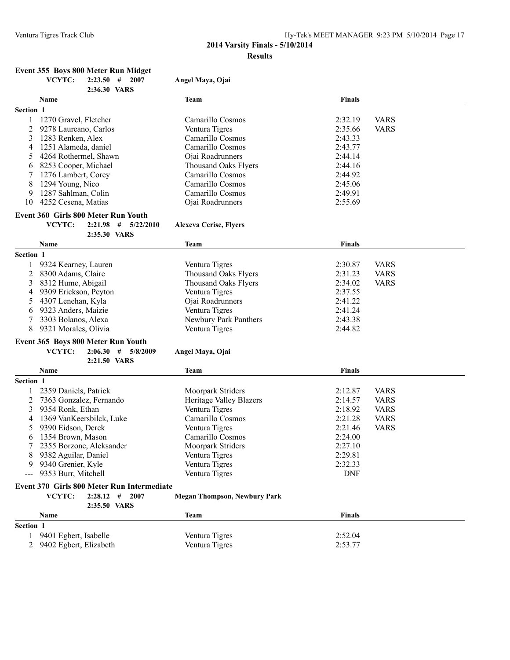## **Event 355 Boys 800 Meter Run Midget**

|                | VCYTC:                 | $2:23.50$ # 2007                           | Angel Maya, Ojai                    |               |             |
|----------------|------------------------|--------------------------------------------|-------------------------------------|---------------|-------------|
|                |                        | 2:36.30 VARS                               |                                     |               |             |
|                | Name                   |                                            | Team                                | Finals        |             |
| Section 1      |                        |                                            |                                     |               |             |
| 1              | 1270 Gravel, Fletcher  |                                            | Camarillo Cosmos                    | 2:32.19       | <b>VARS</b> |
| 2              | 9278 Laureano, Carlos  |                                            | Ventura Tigres                      | 2:35.66       | <b>VARS</b> |
| 3              | 1283 Renken, Alex      |                                            | Camarillo Cosmos                    | 2:43.33       |             |
| 4              | 1251 Alameda, daniel   |                                            | Camarillo Cosmos                    | 2:43.77       |             |
| 5              | 4264 Rothermel, Shawn  |                                            | Ojai Roadrunners                    | 2:44.14       |             |
| 6              | 8253 Cooper, Michael   |                                            | <b>Thousand Oaks Flyers</b>         | 2:44.16       |             |
| 7              | 1276 Lambert, Corey    |                                            | Camarillo Cosmos                    | 2:44.92       |             |
| 8              | 1294 Young, Nico       |                                            | Camarillo Cosmos                    | 2:45.06       |             |
| 9              | 1287 Sahlman, Colin    |                                            | Camarillo Cosmos                    | 2:49.91       |             |
| 10             | 4252 Cesena, Matias    |                                            | Ojai Roadrunners                    | 2:55.69       |             |
|                |                        | Event 360 Girls 800 Meter Run Youth        |                                     |               |             |
|                | VCYTC:                 | $2:21.98$ # $5/22/2010$                    | <b>Alexeva Cerise, Flyers</b>       |               |             |
|                |                        | 2:35.30 VARS                               |                                     |               |             |
|                | Name                   |                                            | <b>Team</b>                         | <b>Finals</b> |             |
| Section 1      |                        |                                            |                                     |               |             |
|                | 9324 Kearney, Lauren   |                                            | Ventura Tigres                      | 2:30.87       | <b>VARS</b> |
| 2              | 8300 Adams, Claire     |                                            | <b>Thousand Oaks Flyers</b>         | 2:31.23       | <b>VARS</b> |
| 3              | 8312 Hume, Abigail     |                                            | <b>Thousand Oaks Flyers</b>         | 2:34.02       | <b>VARS</b> |
| 4              | 9309 Erickson, Peyton  |                                            | Ventura Tigres                      | 2:37.55       |             |
| 5              | 4307 Lenehan, Kyla     |                                            | Ojai Roadrunners                    | 2:41.22       |             |
| 6              | 9323 Anders, Maizie    |                                            | Ventura Tigres                      | 2:41.24       |             |
| 7              | 3303 Bolanos, Alexa    |                                            | Newbury Park Panthers               | 2:43.38       |             |
| 8              | 9321 Morales, Olivia   |                                            | Ventura Tigres                      | 2:44.82       |             |
|                |                        |                                            |                                     |               |             |
|                |                        | Event 365 Boys 800 Meter Run Youth         |                                     |               |             |
|                | VCYTC:                 | 2:06.30<br>#<br>5/8/2009                   | Angel Maya, Ojai                    |               |             |
|                |                        | 2:21.50 VARS                               |                                     |               |             |
|                | Name                   |                                            | Team                                | Finals        |             |
| Section 1      |                        |                                            |                                     |               |             |
|                | 2359 Daniels, Patrick  |                                            | Moorpark Striders                   | 2:12.87       | <b>VARS</b> |
| 2              |                        | 7363 Gonzalez, Fernando                    | Heritage Valley Blazers             | 2:14.57       | <b>VARS</b> |
| 3              | 9354 Ronk, Ethan       |                                            | Ventura Tigres                      | 2:18.92       | <b>VARS</b> |
| 4              |                        | 1369 VanKeersbilck, Luke                   | Camarillo Cosmos                    | 2:21.28       | <b>VARS</b> |
| 5              | 9390 Eidson, Derek     |                                            | Ventura Tigres                      | 2:21.46       | <b>VARS</b> |
| 6              | 1354 Brown, Mason      |                                            | Camarillo Cosmos                    | 2:24.00       |             |
| 7              |                        | 2355 Borzone, Aleksander                   | Moorpark Striders                   | 2:27.10       |             |
|                | 9382 Aguilar, Daniel   |                                            | Ventura Tigres                      | 2:29.81       |             |
|                | 9340 Grenier, Kyle     |                                            | Ventura Tigres                      | 2:32.33       |             |
|                | 9353 Burr, Mitchell    |                                            | Ventura Tigres                      | <b>DNF</b>    |             |
|                |                        | Event 370 Girls 800 Meter Run Intermediate |                                     |               |             |
|                | VCYTC:                 | 2007<br>$2:28.12$ #<br>2:35.50 VARS        | <b>Megan Thompson, Newbury Park</b> |               |             |
|                | Name                   |                                            | <b>Team</b>                         | Finals        |             |
| Section 1      |                        |                                            |                                     |               |             |
| 1              | 9401 Egbert, Isabelle  |                                            | Ventura Tigres                      | 2:52.04       |             |
| $\overline{2}$ | 9402 Egbert, Elizabeth |                                            | Ventura Tigres                      | 2:53.77       |             |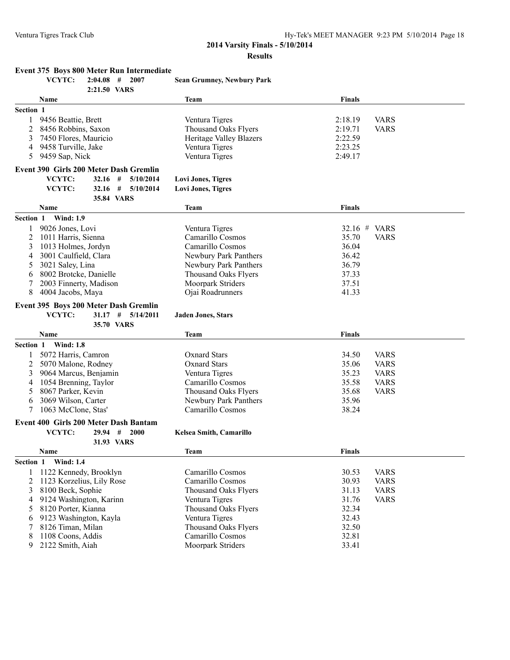|  |  |  | Event 375 Boys 800 Meter Run Intermediate |
|--|--|--|-------------------------------------------|
|--|--|--|-------------------------------------------|

|           | VCYTC:<br>$2:04.08$ #                  | 2007                  | <b>Sean Grumney, Newbury Park</b> |               |             |
|-----------|----------------------------------------|-----------------------|-----------------------------------|---------------|-------------|
|           | 2:21.50 VARS                           |                       |                                   |               |             |
|           | Name                                   |                       | <b>Team</b>                       | <b>Finals</b> |             |
| Section 1 |                                        |                       |                                   |               |             |
|           | 9456 Beattie, Brett                    |                       | Ventura Tigres                    | 2:18.19       | <b>VARS</b> |
| 2         | 8456 Robbins, Saxon                    |                       | <b>Thousand Oaks Flyers</b>       | 2:19.71       | <b>VARS</b> |
| 3         | 7450 Flores, Mauricio                  |                       | <b>Heritage Valley Blazers</b>    | 2:22.59       |             |
| 4         | 9458 Turville, Jake                    |                       | Ventura Tigres                    | 2:23.25       |             |
| 5         | 9459 Sap, Nick                         |                       | Ventura Tigres                    | 2:49.17       |             |
|           | Event 390 Girls 200 Meter Dash Gremlin |                       |                                   |               |             |
|           | VCYTC:<br>$32.16$ #                    | 5/10/2014             | <b>Lovi Jones, Tigres</b>         |               |             |
|           | VCYTC:<br>$32.16$ #                    | 5/10/2014             | <b>Lovi Jones, Tigres</b>         |               |             |
|           | 35.84 VARS                             |                       |                                   |               |             |
|           | Name                                   |                       | <b>Team</b>                       | <b>Finals</b> |             |
| Section 1 | <b>Wind: 1.9</b>                       |                       |                                   |               |             |
|           | 9026 Jones, Lovi                       |                       | Ventura Tigres                    | 32.16 # VARS  |             |
| 2         | 1011 Harris, Sienna                    |                       | Camarillo Cosmos                  | 35.70         | <b>VARS</b> |
| 3         | 1013 Holmes, Jordyn                    |                       | Camarillo Cosmos                  | 36.04         |             |
| 4         | 3001 Caulfield, Clara                  |                       | Newbury Park Panthers             | 36.42         |             |
| 5         | 3021 Saley, Lina                       |                       | Newbury Park Panthers             | 36.79         |             |
| 6         | 8002 Brotcke, Danielle                 |                       | <b>Thousand Oaks Flyers</b>       | 37.33         |             |
|           | 2003 Finnerty, Madison                 |                       | Moorpark Striders                 | 37.51         |             |
| 8         | 4004 Jacobs, Maya                      |                       | Ojai Roadrunners                  | 41.33         |             |
|           | Event 395 Boys 200 Meter Dash Gremlin  |                       |                                   |               |             |
|           | VCYTC:                                 | $31.17$ # $5/14/2011$ | <b>Jaden Jones, Stars</b>         |               |             |
|           | 35.70 VARS                             |                       |                                   |               |             |
|           | Name                                   |                       | Team                              | <b>Finals</b> |             |
| Section 1 | <b>Wind: 1.8</b>                       |                       |                                   |               |             |
|           | 5072 Harris, Camron                    |                       | <b>Oxnard Stars</b>               | 34.50         | <b>VARS</b> |
| 2         | 5070 Malone, Rodney                    |                       | <b>Oxnard Stars</b>               | 35.06         | <b>VARS</b> |
| 3         | 9064 Marcus, Benjamin                  |                       | Ventura Tigres                    | 35.23         | <b>VARS</b> |
| 4         | 1054 Brenning, Taylor                  |                       | Camarillo Cosmos                  | 35.58         | <b>VARS</b> |
| 5         | 8067 Parker, Kevin                     |                       | <b>Thousand Oaks Flyers</b>       | 35.68         | <b>VARS</b> |
| 6         | 3069 Wilson, Carter                    |                       | Newbury Park Panthers             | 35.96         |             |
| 7         | 1063 McClone, Stas'                    |                       | Camarillo Cosmos                  | 38.24         |             |
|           | Event 400 Girls 200 Meter Dash Bantam  |                       |                                   |               |             |
|           | VCYTC:<br>$29.94$ #                    | 2000                  | Kelsea Smith, Camarillo           |               |             |
|           | 31.93 VARS                             |                       |                                   |               |             |
|           | Name                                   |                       | <b>Team</b>                       | <b>Finals</b> |             |
| Section 1 | <b>Wind: 1.4</b>                       |                       |                                   |               |             |
| 1         | 1122 Kennedy, Brooklyn                 |                       | Camarillo Cosmos                  | 30.53         | <b>VARS</b> |
| 2         | 1123 Korzelius, Lily Rose              |                       | Camarillo Cosmos                  | 30.93         | <b>VARS</b> |
| 3         | 8100 Beck, Sophie                      |                       | <b>Thousand Oaks Flyers</b>       | 31.13         | <b>VARS</b> |
| 4         | 9124 Washington, Karinn                |                       | Ventura Tigres                    | 31.76         | <b>VARS</b> |
| 5         | 8120 Porter, Kianna                    |                       | <b>Thousand Oaks Flyers</b>       | 32.34         |             |
| 6         | 9123 Washington, Kayla                 |                       | Ventura Tigres                    | 32.43         |             |
| 7         | 8126 Timan, Milan                      |                       | <b>Thousand Oaks Flyers</b>       | 32.50         |             |
| 8         | 1108 Coons, Addis                      |                       | Camarillo Cosmos                  | 32.81         |             |
| 9         | 2122 Smith, Aiah                       |                       | Moorpark Striders                 | 33.41         |             |
|           |                                        |                       |                                   |               |             |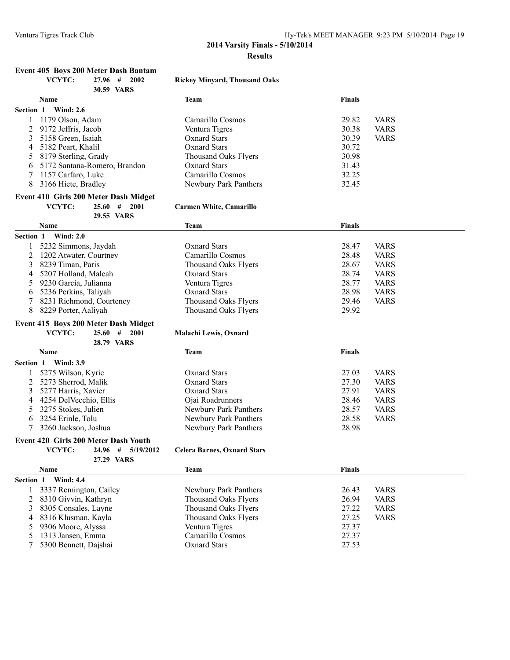## **Event 405 Boys 200 Meter Dash Bantam**

|           | VCYTC:<br>2002<br>27.96 #                        | <b>Rickey Minyard, Thousand Oaks</b> |                |             |
|-----------|--------------------------------------------------|--------------------------------------|----------------|-------------|
|           | 30.59 VARS                                       |                                      |                |             |
|           | Name                                             | <b>Team</b>                          | <b>Finals</b>  |             |
| Section 1 | <b>Wind: 2.6</b>                                 |                                      |                |             |
| 1         | 1179 Olson, Adam                                 | Camarillo Cosmos                     | 29.82          | <b>VARS</b> |
| 2         | 9172 Jeffris, Jacob                              | Ventura Tigres                       | 30.38          | <b>VARS</b> |
| 3         | 5158 Green, Isaiah                               | <b>Oxnard Stars</b>                  | 30.39          | <b>VARS</b> |
| 4         | 5182 Peart, Khalil                               | <b>Oxnard Stars</b>                  | 30.72          |             |
| 5         | 8179 Sterling, Grady                             | <b>Thousand Oaks Flyers</b>          | 30.98          |             |
| 6         | 5172 Santana-Romero, Brandon                     | Oxnard Stars                         | 31.43          |             |
| 7         | 1157 Carfaro, Luke                               | Camarillo Cosmos                     | 32.25          |             |
| 8         | 3166 Hiete, Bradley                              | Newbury Park Panthers                | 32.45          |             |
|           | Event 410 Girls 200 Meter Dash Midget            |                                      |                |             |
|           | VCYTC:<br>$25.60$ # 2001                         | <b>Carmen White, Camarillo</b>       |                |             |
|           | 29.55 VARS                                       |                                      |                |             |
|           | Name                                             | <b>Team</b>                          | <b>Finals</b>  |             |
| Section 1 | <b>Wind: 2.0</b>                                 |                                      |                |             |
|           | 5232 Simmons, Jaydah                             | <b>Oxnard Stars</b>                  | 28.47          | <b>VARS</b> |
| 2         | 1202 Atwater, Courtney                           | Camarillo Cosmos                     | 28.48          | <b>VARS</b> |
| 3         | 8239 Timan, Paris                                | <b>Thousand Oaks Flyers</b>          | 28.67          | <b>VARS</b> |
| 4         | 5207 Holland, Maleah                             | <b>Oxnard Stars</b>                  | 28.74          | <b>VARS</b> |
| 5         | 9230 Garcia, Julianna                            | Ventura Tigres                       | 28.77          | <b>VARS</b> |
| 6         | 5236 Perkins, Taliyah                            | <b>Oxnard Stars</b>                  | 28.98          | <b>VARS</b> |
|           |                                                  |                                      |                |             |
| 7<br>8    | 8231 Richmond, Courteney<br>8229 Porter, Aaliyah | <b>Thousand Oaks Flyers</b>          | 29.46<br>29.92 | <b>VARS</b> |
|           |                                                  | <b>Thousand Oaks Flyers</b>          |                |             |
|           | Event 415 Boys 200 Meter Dash Midget             |                                      |                |             |
|           | VCYTC:<br>25.60<br># 2001                        | Malachi Lewis, Oxnard                |                |             |
|           | 28.79 VARS                                       |                                      |                |             |
|           | Name                                             | <b>Team</b>                          | <b>Finals</b>  |             |
|           | Section 1 Wind: 3.9                              |                                      |                |             |
|           | 5275 Wilson, Kyrie                               | <b>Oxnard Stars</b>                  | 27.03          | <b>VARS</b> |
| 2         | 5273 Sherrod, Malik                              | <b>Oxnard Stars</b>                  | 27.30          | <b>VARS</b> |
| 3         | 5277 Harris, Xavier                              | <b>Oxnard Stars</b>                  | 27.91          | <b>VARS</b> |
| 4         | 4254 DelVecchio, Ellis                           | Ojai Roadrunners                     | 28.46          | <b>VARS</b> |
| 5         | 3275 Stokes, Julien                              | Newbury Park Panthers                | 28.57          | <b>VARS</b> |
| 6         | 3254 Erinle, Tolu                                | Newbury Park Panthers                | 28.58          | <b>VARS</b> |
| 7         | 3260 Jackson, Joshua                             | Newbury Park Panthers                | 28.98          |             |
|           | Event 420 Girls 200 Meter Dash Youth             |                                      |                |             |
|           | VCYTC:<br>24.96 # 5/19/2012                      | <b>Celera Barnes, Oxnard Stars</b>   |                |             |
|           | 27.29 VARS                                       |                                      |                |             |
|           | Name                                             | <b>Team</b>                          | <b>Finals</b>  |             |
| Section 1 | <b>Wind: 4.4</b>                                 |                                      |                |             |
|           |                                                  |                                      |                |             |
| 1         | 3337 Remington, Cailey                           | Newbury Park Panthers                | 26.43          | <b>VARS</b> |
| 2         | 8310 Givvin, Kathryn                             | <b>Thousand Oaks Flyers</b>          | 26.94          | <b>VARS</b> |
| 3         | 8305 Consales, Layne                             | Thousand Oaks Flyers                 | 27.22          | <b>VARS</b> |
| 4         | 8316 Klusman, Kayla                              | Thousand Oaks Flyers                 | 27.25          | <b>VARS</b> |
| 5         | 9306 Moore, Alyssa                               | Ventura Tigres                       | 27.37          |             |
| 5         | 1313 Jansen, Emma                                | Camarillo Cosmos                     | 27.37          |             |
| 7         | 5300 Bennett, Dajshai                            | <b>Oxnard Stars</b>                  | 27.53          |             |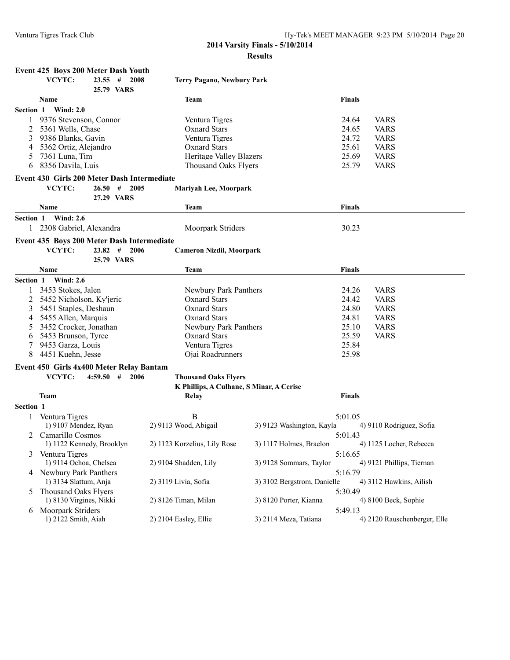**Event 425 Boys 200 Meter Dash Youth<br>VCYTC:** 23.55 # 2008

## **2014 Varsity Finals - 5/10/2014 Results**

|           | VCYTC:                                      | $23.55$ #   | 2008<br>25.79 VARS         | <b>Terry Pagano, Newbury Park</b>        |                             |               |                              |
|-----------|---------------------------------------------|-------------|----------------------------|------------------------------------------|-----------------------------|---------------|------------------------------|
|           | Name                                        |             |                            | <b>Team</b>                              |                             | Finals        |                              |
|           | Section 1 Wind: 2.0                         |             |                            |                                          |                             |               |                              |
|           | 9376 Stevenson, Connor                      |             |                            | Ventura Tigres                           |                             | 24.64         | <b>VARS</b>                  |
| 2         | 5361 Wells, Chase                           |             |                            | <b>Oxnard Stars</b>                      |                             | 24.65         | <b>VARS</b>                  |
| 3         | 9386 Blanks, Gavin                          |             |                            | Ventura Tigres                           |                             | 24.72         | <b>VARS</b>                  |
| 4         | 5362 Ortiz, Alejandro                       |             |                            | <b>Oxnard Stars</b>                      |                             | 25.61         | <b>VARS</b>                  |
| 5         | 7361 Luna, Tim                              |             |                            | Heritage Valley Blazers                  |                             | 25.69         | <b>VARS</b>                  |
| 6         | 8356 Davila, Luis                           |             |                            | <b>Thousand Oaks Flyers</b>              |                             | 25.79         | <b>VARS</b>                  |
|           | Event 430 Girls 200 Meter Dash Intermediate |             |                            |                                          |                             |               |                              |
|           | VCYTC:                                      | 26.50#      | 2005                       | <b>Mariyah Lee, Moorpark</b>             |                             |               |                              |
|           |                                             |             | 27.29 VARS                 |                                          |                             |               |                              |
|           | Name                                        |             |                            | <b>Team</b>                              |                             | <b>Finals</b> |                              |
| Section 1 | <b>Wind: 2.6</b>                            |             |                            |                                          |                             |               |                              |
|           | 1 2308 Gabriel, Alexandra                   |             |                            | Moorpark Striders                        |                             | 30.23         |                              |
|           | Event 435 Boys 200 Meter Dash Intermediate  |             |                            |                                          |                             |               |                              |
|           | VCYTC:                                      |             | $23.82 \quad # \quad 2006$ | <b>Cameron Nizdil, Moorpark</b>          |                             |               |                              |
|           |                                             |             | 25.79 VARS                 |                                          |                             |               |                              |
|           | <b>Name</b>                                 |             |                            | <b>Team</b>                              |                             | <b>Finals</b> |                              |
|           | Section 1 Wind: 2.6                         |             |                            |                                          |                             |               |                              |
|           | 3453 Stokes, Jalen                          |             |                            | Newbury Park Panthers                    |                             | 24.26         | <b>VARS</b>                  |
| 2         | 5452 Nicholson, Ky'jeric                    |             |                            | <b>Oxnard Stars</b>                      |                             | 24.42         | <b>VARS</b>                  |
| 3         | 5451 Staples, Deshaun                       |             |                            | <b>Oxnard Stars</b>                      |                             | 24.80         | <b>VARS</b>                  |
| 4         | 5455 Allen, Marquis                         |             |                            | <b>Oxnard Stars</b>                      |                             | 24.81         | <b>VARS</b>                  |
| 5         | 3452 Crocker, Jonathan                      |             |                            | Newbury Park Panthers                    |                             | 25.10         | <b>VARS</b>                  |
| 6         | 5453 Brunson, Tyree                         |             |                            | <b>Oxnard Stars</b>                      |                             | 25.59         | <b>VARS</b>                  |
|           | 9453 Garza, Louis                           |             |                            | Ventura Tigres                           |                             | 25.84         |                              |
| 8         | 4451 Kuehn, Jesse                           |             |                            | Ojai Roadrunners                         |                             | 25.98         |                              |
|           | Event 450 Girls 4x400 Meter Relay Bantam    |             |                            |                                          |                             |               |                              |
|           | VCYTC:                                      | $4:59.50$ # | 2006                       | <b>Thousand Oaks Flyers</b>              |                             |               |                              |
|           |                                             |             |                            | K Phillips, A Culhane, S Minar, A Cerise |                             |               |                              |
|           | Team                                        |             |                            | Relay                                    |                             | <b>Finals</b> |                              |
| Section 1 |                                             |             |                            |                                          |                             |               |                              |
| 1         | Ventura Tigres                              |             |                            | B                                        |                             | 5:01.05       |                              |
|           | 1) 9107 Mendez, Ryan                        |             |                            | 2) 9113 Wood, Abigail                    | 3) 9123 Washington, Kayla   |               | 4) 9110 Rodriguez, Sofia     |
| 2         | Camarillo Cosmos                            |             |                            |                                          |                             | 5:01.43       |                              |
|           | 1) 1122 Kennedy, Brooklyn                   |             |                            | 2) 1123 Korzelius, Lily Rose             | 3) 1117 Holmes, Braelon     |               | 4) 1125 Locher, Rebecca      |
| 3         | Ventura Tigres                              |             |                            |                                          |                             | 5:16.65       |                              |
|           | 1) 9114 Ochoa, Chelsea                      |             |                            | 2) 9104 Shadden, Lily                    | 3) 9128 Sommars, Taylor     |               | 4) 9121 Phillips, Tiernan    |
|           | 4 Newbury Park Panthers                     |             |                            |                                          |                             | 5:16.79       |                              |
|           | 1) 3134 Slattum, Anja                       |             |                            | 2) 3119 Livia, Sofia                     | 3) 3102 Bergstrom, Danielle |               | 4) 3112 Hawkins, Ailish      |
| 5         | Thousand Oaks Flyers                        |             |                            |                                          |                             | 5:30.49       |                              |
|           | 1) 8130 Virgines, Nikki                     |             |                            | 2) 8126 Timan, Milan                     | 3) 8120 Porter, Kianna      |               | 4) 8100 Beck, Sophie         |
|           | 6 Moorpark Striders                         |             |                            |                                          |                             | 5:49.13       |                              |
|           | 1) 2122 Smith, Aiah                         |             |                            | 2) 2104 Easley, Ellie                    | 3) 2114 Meza, Tatiana       |               | 4) 2120 Rauschenberger, Elle |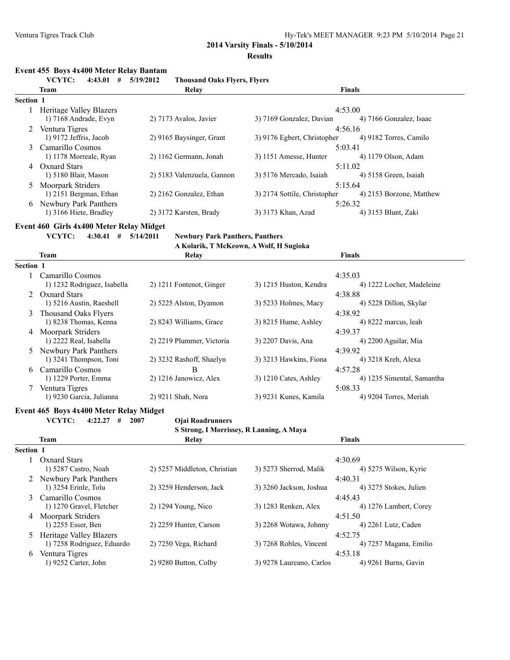### **Event 455 Boys 4x400 Meter Relay Bantam**

|              | VCYTC:<br>$4:43.01$ #                       | 5/19/2012                    | <b>Thousand Oaks Flyers, Flyers</b> |                                          |                                     |
|--------------|---------------------------------------------|------------------------------|-------------------------------------|------------------------------------------|-------------------------------------|
|              | Team                                        | Relay                        |                                     |                                          | <b>Finals</b>                       |
| Section 1    |                                             |                              |                                     |                                          |                                     |
|              | 1 Heritage Valley Blazers                   |                              |                                     |                                          | 4:53.00                             |
|              | 1) 7168 Andrade, Evyn                       | 2) 7173 Avalos, Javier       |                                     | 3) 7169 Gonzalez, Davian                 | 4) 7166 Gonzalez, Isaac             |
|              | 2 Ventura Tigres                            |                              |                                     |                                          | 4:56.16                             |
|              | 1) 9172 Jeffris, Jacob                      | 2) 9165 Baysinger, Grant     |                                     | 3) 9176 Egbert, Christopher              | 4) 9182 Torres, Camilo              |
| 3            | Camarillo Cosmos                            |                              |                                     |                                          | 5:03.41                             |
|              | 1) 1178 Morreale, Ryan                      | 2) 1162 Germann, Jonah       |                                     | 3) 1151 Amesse, Hunter                   | 4) 1179 Olson, Adam                 |
|              | 4 Oxnard Stars                              |                              |                                     |                                          | 5:11.02                             |
|              | 1) 5180 Blair, Mason                        | 2) 5183 Valenzuela, Gannon   |                                     | 3) 5176 Mercado, Isaiah                  | 4) 5158 Green, Isaiah               |
| 5            | Moorpark Striders<br>1) 2151 Bergman, Ethan | 2) 2162 Gonzalez, Ethan      |                                     | 3) 2174 Sottile, Christopher             | 5:15.64<br>4) 2153 Borzone, Matthew |
|              | 6 Newbury Park Panthers                     |                              |                                     |                                          |                                     |
|              | 1) 3166 Hiete, Bradley                      | 2) 3172 Karsten, Brady       |                                     | 3) 3173 Khan, Azad                       | 5:26.32<br>4) 3153 Blunt, Zaki      |
|              |                                             |                              |                                     |                                          |                                     |
|              | Event 460 Girls 4x400 Meter Relay Midget    |                              |                                     |                                          |                                     |
|              | $4:30.41$ # $5/14/2011$<br>VCYTC:           |                              |                                     | <b>Newbury Park Panthers, Panthers</b>   |                                     |
|              |                                             |                              |                                     | A Kolarik, T McKeown, A Wolf, H Sugioka  |                                     |
|              | <b>Team</b>                                 | Relay                        |                                     |                                          | <b>Finals</b>                       |
| Section 1    |                                             |                              |                                     |                                          |                                     |
|              | 1 Camarillo Cosmos                          |                              |                                     |                                          | 4:35.03                             |
|              | 1) 1232 Rodriguez, Isabella                 | 2) 1211 Fontenot, Ginger     |                                     | 3) 1215 Huston, Kendra                   | 4) 1222 Locher, Madeleine           |
|              | 2 Oxnard Stars                              |                              |                                     |                                          | 4:38.88                             |
|              | 1) 5216 Austin, Raeshell                    | 2) 5225 Alston, Dyamon       |                                     | 3) 5233 Holmes, Macy                     | 4) 5228 Dillon, Skylar              |
| 3            | Thousand Oaks Flyers                        |                              |                                     |                                          | 4:38.92                             |
|              | 1) 8238 Thomas, Kenna                       | 2) 8243 Williams, Grace      |                                     | 3) 8215 Hume, Ashley                     | 4) 8222 marcus, leah                |
|              | 4 Moorpark Striders                         |                              |                                     |                                          | 4:39.37                             |
|              | 1) 2222 Real, Isabella                      | 2) 2219 Plummer, Victoria    |                                     | 3) 2207 Davis, Ana                       | 4) 2200 Aguilar, Mia                |
|              | 5 Newbury Park Panthers                     |                              |                                     |                                          | 4:39.92                             |
|              | 1) 3241 Thompson, Toni                      | 2) 3232 Rashoff, Shaelyn     |                                     | 3) 3213 Hawkins, Fiona                   | 4) 3218 Kreh, Alexa                 |
| 6            | Camarillo Cosmos                            | В                            |                                     |                                          | 4:57.28                             |
|              | 1) 1229 Porter, Emma                        | 2) 1216 Janowicz, Alex       |                                     | 3) 1210 Cates, Ashley                    | 4) 1235 Simental, Samantha          |
|              | 7 Ventura Tigres                            |                              |                                     |                                          | 5:08.33                             |
|              | 1) 9230 Garcia, Julianna                    | 2) 9211 Shah, Nora           |                                     | 3) 9231 Kunes, Kamila                    | 4) 9204 Torres, Meriah              |
|              | Event 465 Boys 4x400 Meter Relay Midget     |                              |                                     |                                          |                                     |
|              | VCYTC:<br>$4:22.27$ #<br>2007               | Ojai Roadrunners             |                                     |                                          |                                     |
|              |                                             |                              |                                     | S Strong, I Morrissey, R Lanning, A Maya |                                     |
|              | <b>Team</b>                                 | Relay                        |                                     |                                          | <b>Finals</b>                       |
| Section 1    |                                             |                              |                                     |                                          |                                     |
| $\mathbf{1}$ | <b>Oxnard Stars</b>                         |                              |                                     |                                          | 4:30.69                             |
|              | 1) 5287 Castro, Noah                        | 2) 5257 Middleton, Christian |                                     | 3) 5273 Sherrod, Malik                   | 4) 5275 Wilson, Kyrie               |
|              | 2 Newbury Park Panthers                     |                              |                                     |                                          | 4:40.31                             |
|              | 1) 3254 Erinle, Tolu                        | 2) 3259 Henderson, Jack      |                                     | 3) 3260 Jackson, Joshua                  | 4) 3275 Stokes, Julien              |
|              | 3 Camarillo Cosmos                          |                              |                                     |                                          | 4:45.43                             |
|              | 1) 1270 Gravel, Fletcher                    | 2) 1294 Young, Nico          |                                     | 3) 1283 Renken, Alex                     | 4) 1276 Lambert, Corey              |
|              | 4 Moorpark Striders                         |                              |                                     |                                          | 4:51.50                             |
|              | 1) 2255 Esser, Ben                          | 2) 2259 Hunter, Carson       |                                     | 3) 2268 Wotawa, Johnny                   | 4) 2261 Lutz, Caden                 |
| 5            | <b>Heritage Valley Blazers</b>              |                              |                                     |                                          | 4:52.75                             |
|              | 1) 7258 Rodriguez, Eduardo                  | 2) 7250 Vega, Richard        |                                     | 3) 7268 Robles, Vincent                  | 4) 7257 Magana, Emilio              |
|              | 6 Ventura Tigres                            |                              |                                     |                                          | 4:53.18                             |
|              | 1) 9252 Carter, John                        | 2) 9280 Button, Colby        |                                     | 3) 9278 Laureano, Carlos                 | 4) 9261 Burns, Gavin                |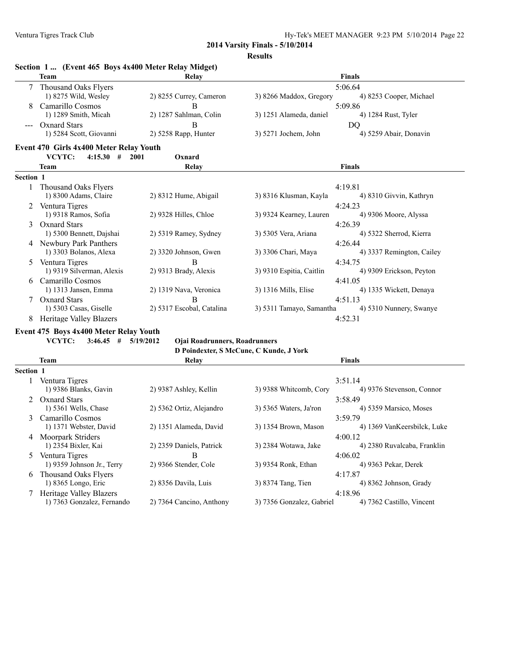4) 8362 Johnson, Grady

**2014 Varsity Finals - 5/10/2014**

**Results**

|           | Section 1  (Event 465 Boys 4x400 Meter Relay Midget)            |                                                   |                                         |                                        |
|-----------|-----------------------------------------------------------------|---------------------------------------------------|-----------------------------------------|----------------------------------------|
|           | <b>Team</b>                                                     | Relay                                             |                                         | <b>Finals</b>                          |
| 7         | <b>Thousand Oaks Flyers</b>                                     |                                                   |                                         | 5:06.64                                |
|           | 1) 8275 Wild, Wesley                                            | 2) 8255 Currey, Cameron                           | 3) 8266 Maddox, Gregory                 | 4) 8253 Cooper, Michael                |
|           | Camarillo Cosmos                                                | B                                                 |                                         | 5:09.86                                |
|           | 1) 1289 Smith, Micah                                            | 2) 1287 Sahlman, Colin                            | 3) 1251 Alameda, daniel                 | 4) 1284 Rust, Tyler                    |
|           | <b>Oxnard Stars</b>                                             | B                                                 |                                         | D <sub>O</sub>                         |
|           | 1) 5284 Scott, Giovanni                                         | 2) 5258 Rapp, Hunter                              | 3) 5271 Jochem, John                    | 4) 5259 Abair, Donavin                 |
|           | Event 470 Girls 4x400 Meter Relay Youth                         |                                                   |                                         |                                        |
|           | VCYTC:<br>4:15.30<br>#                                          | Oxnard<br>2001                                    |                                         |                                        |
|           | <b>Team</b>                                                     | Relay                                             |                                         | <b>Finals</b>                          |
| Section 1 |                                                                 |                                                   |                                         |                                        |
| 1         | Thousand Oaks Flyers                                            |                                                   |                                         | 4:19.81                                |
|           | 1) 8300 Adams, Claire                                           | 2) 8312 Hume, Abigail                             | 3) 8316 Klusman, Kayla                  | 4) 8310 Givvin, Kathryn                |
|           | 2 Ventura Tigres                                                |                                                   |                                         | 4:24.23                                |
|           | 1) 9318 Ramos, Sofia                                            | 2) 9328 Hilles, Chloe                             | 3) 9324 Kearney, Lauren                 | 4) 9306 Moore, Alyssa                  |
| 3         | <b>Oxnard Stars</b>                                             |                                                   |                                         | 4:26.39                                |
|           | 1) 5300 Bennett, Dajshai                                        | 2) 5319 Ramey, Sydney                             | 3) 5305 Vera, Ariana                    | 4) 5322 Sherrod, Kierra                |
|           | 4 Newbury Park Panthers                                         |                                                   |                                         | 4:26.44                                |
|           | 1) 3303 Bolanos, Alexa                                          | 2) 3320 Johnson, Gwen                             | 3) 3306 Chari, Maya                     | 4) 3337 Remington, Cailey              |
|           | 5 Ventura Tigres                                                | B                                                 |                                         | 4:34.75                                |
|           | 1) 9319 Silverman, Alexis                                       | 2) 9313 Brady, Alexis                             | 3) 9310 Espitia, Caitlin                | 4) 9309 Erickson, Peyton               |
|           | 6 Camarillo Cosmos                                              |                                                   |                                         | 4:41.05                                |
|           | 1) 1313 Jansen, Emma                                            | 2) 1319 Nava, Veronica                            | 3) 1316 Mills, Elise                    | 4) 1335 Wickett, Denaya                |
|           | 7 Oxnard Stars                                                  | B                                                 |                                         | 4:51.13                                |
|           | 1) 5303 Casas, Giselle                                          | 2) 5317 Escobal, Catalina                         | 3) 5311 Tamayo, Samantha                | 4) 5310 Nunnery, Swanye                |
| 8         | <b>Heritage Valley Blazers</b>                                  |                                                   |                                         | 4:52.31                                |
|           |                                                                 |                                                   |                                         |                                        |
|           | Event 475 Boys 4x400 Meter Relay Youth<br>VCYTC:<br>$3:46.45$ # | 5/19/2012<br><b>Ojai Roadrunners, Roadrunners</b> |                                         |                                        |
|           |                                                                 |                                                   | D Poindexter, S McCune, C Kunde, J York |                                        |
|           | <b>Team</b>                                                     | Relay                                             |                                         | <b>Finals</b>                          |
| Section 1 |                                                                 |                                                   |                                         |                                        |
| 1         | Ventura Tigres                                                  |                                                   |                                         | 3:51.14                                |
|           | 1) 9386 Blanks, Gavin                                           | 2) 9387 Ashley, Kellin                            | 3) 9388 Whitcomb, Cory                  | 4) 9376 Stevenson, Connor              |
|           | 2 Oxnard Stars                                                  |                                                   |                                         | 3:58.49                                |
|           | 1) 5361 Wells, Chase                                            | 2) 5362 Ortiz, Alejandro                          | 3) 5365 Waters, Ja'ron                  | 4) 5359 Marsico, Moses                 |
|           | Camarillo Cosmos                                                |                                                   |                                         |                                        |
| 3         | 1) 1371 Webster, David                                          | 2) 1351 Alameda, David                            | 3) 1354 Brown, Mason                    | 3:59.79<br>4) 1369 VanKeersbilck, Luke |
|           | 4 Moorpark Striders                                             |                                                   |                                         |                                        |
|           | 1) 2354 Bixler, Kai                                             | 2) 2359 Daniels, Patrick                          | 3) 2384 Wotawa, Jake                    | 4:00.12<br>4) 2380 Ruvalcaba, Franklin |
|           |                                                                 |                                                   |                                         |                                        |
| 5         | Ventura Tigres                                                  | B<br>2) 9366 Stender, Cole                        | 3) 9354 Ronk, Ethan                     | 4:06.02                                |
|           | 1) 9359 Johnson Jr., Terry                                      |                                                   |                                         | 4) 9363 Pekar, Derek                   |

6 Thousand Oaks Flyers 4:17.87<br>
1) 8365 Longo, Eric 2) 8356 Davila, Luis 3) 8374 Tang, Tien 4:17.87 1) 7363 Gonzalez, Fernando

7 Heritage Valley Blazers 4:18.96<br>
1) 7363 Gonzalez, Fernando 2) 7364 Cancino, Anthony 3) 7356 Gonzalez, Gabriel 4) 7362 Castillo, Vincent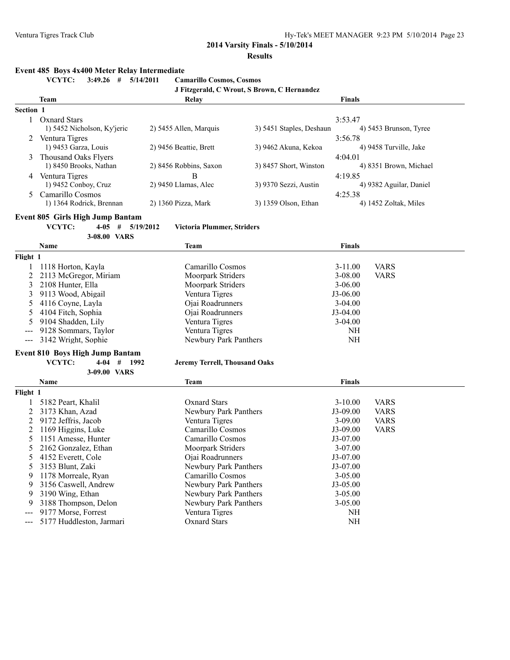## **Event 485 Boys 4x400 Meter Relay Intermediate**

**VCYTC: 3:49.26 # 5/14/2011 Camarillo Cosmos, Cosmos**

|                  | J Fitzgerald, C Wrout, S Brown, C Hernandez |                        |                          |                         |  |  |  |
|------------------|---------------------------------------------|------------------------|--------------------------|-------------------------|--|--|--|
|                  | <b>Team</b>                                 | Relay                  |                          | <b>Finals</b>           |  |  |  |
| <b>Section 1</b> |                                             |                        |                          |                         |  |  |  |
|                  | <b>Oxnard Stars</b>                         |                        |                          | 3:53.47                 |  |  |  |
|                  | 1) 5452 Nicholson, Ky'jeric                 | 2) 5455 Allen, Marquis | 3) 5451 Staples, Deshaun | 4) 5453 Brunson, Tyree  |  |  |  |
|                  | Ventura Tigres                              |                        |                          | 3:56.78                 |  |  |  |
|                  | 1) 9453 Garza, Louis                        | 2) 9456 Beattie, Brett | 3) 9462 Akuna, Kekoa     | 4) 9458 Turville, Jake  |  |  |  |
| 3                | Thousand Oaks Flyers                        |                        |                          | 4:04.01                 |  |  |  |
|                  | 1) 8450 Brooks, Nathan                      | 2) 8456 Robbins, Saxon | 3) 8457 Short, Winston   | 4) 8351 Brown, Michael  |  |  |  |
| 4                | Ventura Tigres                              | B                      |                          | 4:19.85                 |  |  |  |
|                  | 1) 9452 Conboy, Cruz                        | $2)$ 9450 Llamas, Alec | 3) 9370 Sezzi, Austin    | 4) 9382 Aguilar, Daniel |  |  |  |
|                  | Camarillo Cosmos                            |                        |                          | 4:25.38                 |  |  |  |
|                  | 1) 1364 Rodrick, Brennan                    | 2) 1360 Pizza, Mark    | 3) 1359 Olson, Ethan     | 4) 1452 Zoltak, Miles   |  |  |  |

#### **Event 805 Girls High Jump Bantam**

**VCYTC: 4-05 # 5/19/2012 Victoria Plummer, Striders**

|                | 3-08.00 VARS                           |                                      |               |             |
|----------------|----------------------------------------|--------------------------------------|---------------|-------------|
|                | Name                                   | <b>Team</b>                          | <b>Finals</b> |             |
| Flight 1       |                                        |                                      |               |             |
|                | 1118 Horton, Kayla                     | Camarillo Cosmos                     | $3 - 11.00$   | <b>VARS</b> |
| 2              | 2113 McGregor, Miriam                  | Moorpark Striders                    | $3 - 08.00$   | <b>VARS</b> |
| 3              | 2108 Hunter, Ella                      | Moorpark Striders                    | $3 - 06.00$   |             |
| 3              | 9113 Wood, Abigail                     | Ventura Tigres                       | $J3-06.00$    |             |
| 5              | 4116 Coyne, Layla                      | Ojai Roadrunners                     | $3-04.00$     |             |
| 5              | 4104 Fitch, Sophia                     | Ojai Roadrunners                     | $J3-04.00$    |             |
| 5              | 9104 Shadden, Lily                     | Ventura Tigres                       | $3-04.00$     |             |
|                | 9128 Sommars, Taylor                   | Ventura Tigres                       | <b>NH</b>     |             |
| $\sim$ $\sim$  | 3142 Wright, Sophie                    | Newbury Park Panthers                | <b>NH</b>     |             |
|                | <b>Event 810 Boys High Jump Bantam</b> |                                      |               |             |
|                | VCYTC:<br>$4-04$ # 1992                | <b>Jeremy Terrell, Thousand Oaks</b> |               |             |
|                | 3-09.00 VARS                           |                                      |               |             |
|                | <b>Name</b>                            | <b>Team</b>                          | <b>Finals</b> |             |
| Flight 1       |                                        |                                      |               |             |
|                | 5182 Peart, Khalil                     | <b>Oxnard Stars</b>                  | $3 - 10.00$   | <b>VARS</b> |
| $\overline{2}$ | 3173 Khan, Azad                        | Newbury Park Panthers                | $J3-09.00$    | <b>VARS</b> |
| 2              | 9172 Jeffris, Jacob                    | Ventura Tigres                       | $3 - 09.00$   | <b>VARS</b> |
| 2              | 1169 Higgins, Luke                     | Camarillo Cosmos                     | $J3-09.00$    | <b>VARS</b> |
| 5              | 1151 Amesse, Hunter                    | Camarillo Cosmos                     | $J3-07.00$    |             |
| 5              | 2162 Gonzalez, Ethan                   | Moorpark Striders                    | 3-07.00       |             |
| 5              | 4152 Everett, Cole                     | Ojai Roadrunners                     | J3-07.00      |             |
| 5              | 3153 Blunt, Zaki                       | Newbury Park Panthers                | J3-07.00      |             |
| 9              | 1178 Morreale, Ryan                    | Camarillo Cosmos                     | $3 - 05.00$   |             |
| 9              | 3156 Caswell, Andrew                   | Newbury Park Panthers                | J3-05.00      |             |
| 9              | 3190 Wing, Ethan                       | Newbury Park Panthers                | $3 - 05.00$   |             |
| 9              | 3188 Thompson, Delon                   | Newbury Park Panthers                | 3-05.00       |             |
| $---$          | 9177 Morse, Forrest                    | Ventura Tigres                       | NH            |             |
| ---            | 5177 Huddleston, Jarmari               | <b>Oxnard Stars</b>                  | NH            |             |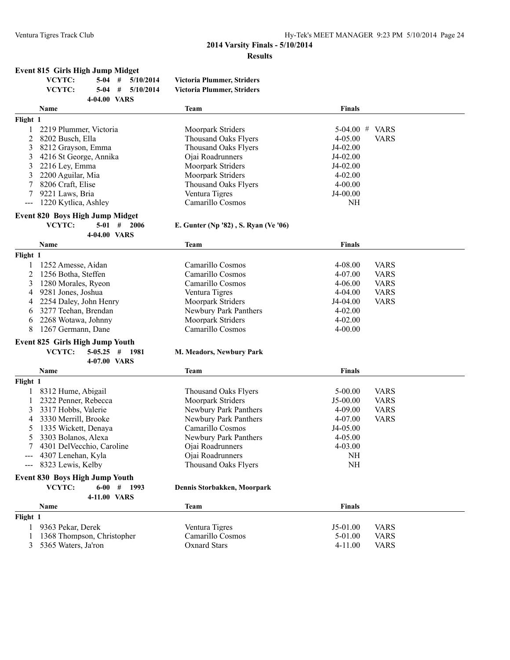#### **Event 815 Girls High Jump Midget**

| VCYTC:       |  | $5-04$ # $5/10/2014$ | Victoria Plummer, Striders |
|--------------|--|----------------------|----------------------------|
| VCYTC:       |  | $5-04$ # $5/10/2014$ | Victoria Plummer, Striders |
| 4-04.00 VARS |  |                      |                            |

|          | Name                   | Team                        | <b>Finals</b>              |
|----------|------------------------|-----------------------------|----------------------------|
| Flight 1 |                        |                             |                            |
|          | 2219 Plummer, Victoria | Moorpark Striders           | $5-04.00$ # VARS           |
|          | 2 8202 Busch, Ella     | Thousand Oaks Flyers        | <b>VARS</b><br>$4 - 05.00$ |
|          | 3 8212 Grayson, Emma   | Thousand Oaks Flyers        | $J4-02.00$                 |
|          | 4216 St George, Annika | Oiai Roadrunners            | $J4-02.00$                 |
|          | 3 2216 Lev, Emma       | Moorpark Striders           | $J4-02.00$                 |
|          | 3 2200 Aguilar, Mia    | Moorpark Striders           | $4 - 02.00$                |
|          | 8206 Craft, Elise      | <b>Thousand Oaks Flyers</b> | $4 - 00.00$                |
|          | 9221 Laws, Bria        | Ventura Tigres              | J4-00.00                   |
|          | 1220 Kytlica, Ashley   | Camarillo Cosmos            | NH                         |
|          |                        |                             |                            |

# **Event 820 Boys High Jump Midget<br>VCYTC:** 5-01 # 2006

**E. Gunter (Np '82), S. Ryan (Ve '06)** 

|          | 4-04.00 VARS                    |                             |               |             |
|----------|---------------------------------|-----------------------------|---------------|-------------|
|          | Name                            | Team                        | <b>Finals</b> |             |
| Flight 1 |                                 |                             |               |             |
|          | 1252 Amesse, Aidan              | Camarillo Cosmos            | $4 - 08.00$   | <b>VARS</b> |
| 2        | 1256 Botha, Steffen             | Camarillo Cosmos            | $4 - 07.00$   | <b>VARS</b> |
| 3        | 1280 Morales, Ryeon             | Camarillo Cosmos            | $4 - 06.00$   | <b>VARS</b> |
| 4        | 9281 Jones, Joshua              | Ventura Tigres              | $4-04.00$     | <b>VARS</b> |
| 4        | 2254 Daley, John Henry          | Moorpark Striders           | J4-04.00      | <b>VARS</b> |
| 6        | 3277 Teehan, Brendan            | Newbury Park Panthers       | $4 - 02.00$   |             |
| 6        | 2268 Wotawa, Johnny             | Moorpark Striders           | $4 - 02.00$   |             |
| 8        | 1267 Germann, Dane              | Camarillo Cosmos            | $4 - 00.00$   |             |
|          | Event 825 Girls High Jump Youth |                             |               |             |
|          | VCYTC:<br>$5-05.25$ #<br>1981   | M. Meadors, Newbury Park    |               |             |
|          | 4-07.00 VARS                    |                             |               |             |
|          | <b>Name</b>                     | Team                        | <b>Finals</b> |             |
| Flight 1 |                                 |                             |               |             |
|          | 8312 Hume, Abigail              | <b>Thousand Oaks Flyers</b> | $5 - 00.00$   | <b>VARS</b> |
|          | 2322 Penner, Rebecca            | Moorpark Striders           | $J5-00.00$    | <b>VARS</b> |
| 3        | 3317 Hobbs, Valerie             | Newbury Park Panthers       | $4 - 09.00$   | <b>VARS</b> |
| 4        | 3330 Merrill, Brooke            | Newbury Park Panthers       | $4 - 07.00$   | <b>VARS</b> |
| 5        | 1335 Wickett. Denava            | Camarillo Cosmos            | J4-05.00      |             |

| Nama                           | Taam                        | Finale      |  |
|--------------------------------|-----------------------------|-------------|--|
| 4-11.00 VARS                   |                             |             |  |
| VCYTC:<br>1993<br>6-00<br>#    | Dennis Storbakken, Moorpark |             |  |
| Event 830 Boys High Jump Youth |                             |             |  |
| $-$ 8323 Lewis, Kelby          | Thousand Oaks Flyers        | NH          |  |
| --- 4307 Lenehan, Kyla         | Oiai Roadrunners            | NH          |  |
| 4301 DelVecchio, Caroline      | Ojai Roadrunners            | $4 - 03.00$ |  |
| 5 3303 Bolanos, Alexa          | Newbury Park Panthers       | $4 - 05.00$ |  |
| 5 1335 Wickett, Denaya         | Camarillo Cosmos            | $J4-05.00$  |  |
|                                |                             |             |  |

| Name                       | Team             | <b>Finals</b> |             |  |  |  |  |
|----------------------------|------------------|---------------|-------------|--|--|--|--|
| Flight 1                   |                  |               |             |  |  |  |  |
| 9363 Pekar, Derek          | Ventura Tigres   | $15-0100$     | <b>VARS</b> |  |  |  |  |
| 1368 Thompson, Christopher | Camarillo Cosmos | $5-01.00$     | <b>VARS</b> |  |  |  |  |
| 3 5365 Waters, Ja'ron      | Oxnard Stars     | $4-11.00$     | <b>VARS</b> |  |  |  |  |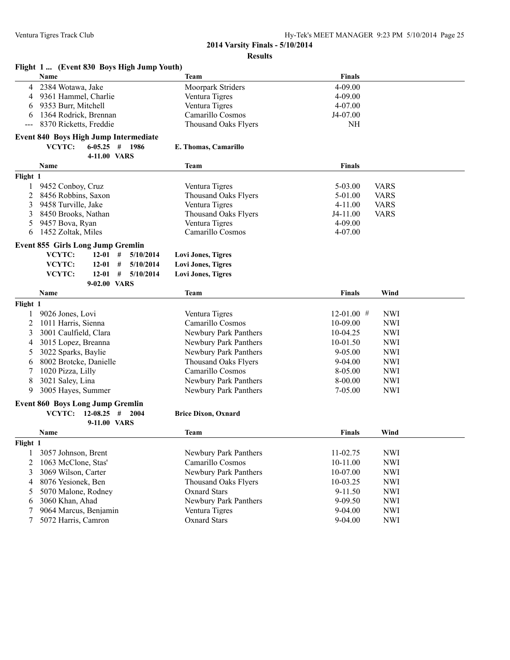|                                          | Flight 1  (Event 830 Boys High Jump Youth)   |                             |                            |  |  |
|------------------------------------------|----------------------------------------------|-----------------------------|----------------------------|--|--|
|                                          | Name                                         | Team                        | Finals                     |  |  |
| 4                                        | 2384 Wotawa, Jake                            | Moorpark Striders           | 4-09.00                    |  |  |
| 4                                        | 9361 Hammel, Charlie                         | Ventura Tigres              | 4-09.00                    |  |  |
| 6                                        | 9353 Burr, Mitchell                          | Ventura Tigres              | 4-07.00                    |  |  |
| 6                                        | 1364 Rodrick, Brennan                        | Camarillo Cosmos            | J4-07.00                   |  |  |
|                                          | 8370 Ricketts, Freddie                       | Thousand Oaks Flyers        | <b>NH</b>                  |  |  |
|                                          | <b>Event 840 Boys High Jump Intermediate</b> |                             |                            |  |  |
|                                          | VCYTC:<br>$6-05.25$ # 1986                   | E. Thomas, Camarillo        |                            |  |  |
|                                          | 4-11.00 VARS                                 |                             |                            |  |  |
|                                          | Name                                         | Team                        | <b>Finals</b>              |  |  |
| Flight 1                                 |                                              |                             |                            |  |  |
| 1                                        | 9452 Conboy, Cruz                            | Ventura Tigres              | $5 - 03.00$<br><b>VARS</b> |  |  |
| 2                                        | 8456 Robbins, Saxon                          | Thousand Oaks Flyers        | 5-01.00<br><b>VARS</b>     |  |  |
| 3                                        | 9458 Turville, Jake                          | Ventura Tigres              | <b>VARS</b><br>$4 - 11.00$ |  |  |
| 3                                        | 8450 Brooks, Nathan                          | Thousand Oaks Flyers        | <b>VARS</b><br>J4-11.00    |  |  |
| 5                                        | 9457 Bova, Ryan                              | Ventura Tigres              | 4-09.00                    |  |  |
| 6                                        | 1452 Zoltak, Miles                           | Camarillo Cosmos            | 4-07.00                    |  |  |
|                                          |                                              |                             |                            |  |  |
| <b>Event 855 Girls Long Jump Gremlin</b> |                                              |                             |                            |  |  |
|                                          | VCYTC:<br>#<br>$12 - 01$<br>5/10/2014        | <b>Lovi Jones, Tigres</b>   |                            |  |  |
|                                          | VCYTC:<br>$12 - 01$<br>#<br>5/10/2014        | <b>Lovi Jones, Tigres</b>   |                            |  |  |
|                                          | VCYTC:<br>$12 - 01$<br>#<br>5/10/2014        | <b>Lovi Jones, Tigres</b>   |                            |  |  |
|                                          | 9-02.00 VARS                                 |                             |                            |  |  |
|                                          | Name                                         | <b>Team</b>                 | <b>Finals</b><br>Wind      |  |  |
| Flight 1                                 |                                              |                             |                            |  |  |
| 1                                        | 9026 Jones, Lovi                             | Ventura Tigres              | $12-01.00$ #<br><b>NWI</b> |  |  |
| 2                                        | 1011 Harris, Sienna                          | Camarillo Cosmos            | 10-09.00<br><b>NWI</b>     |  |  |
| 3                                        | 3001 Caulfield, Clara                        | Newbury Park Panthers       | 10-04.25<br><b>NWI</b>     |  |  |
| 4                                        | 3015 Lopez, Breanna                          | Newbury Park Panthers       | <b>NWI</b><br>10-01.50     |  |  |
| 5                                        | 3022 Sparks, Baylie                          | Newbury Park Panthers       | <b>NWI</b><br>$9 - 05.00$  |  |  |
| 6                                        | 8002 Brotcke, Danielle                       | Thousand Oaks Flyers        | 9-04.00<br><b>NWI</b>      |  |  |
| 7                                        | 1020 Pizza, Lilly                            | Camarillo Cosmos            | 8-05.00<br><b>NWI</b>      |  |  |
| 8                                        | 3021 Saley, Lina                             | Newbury Park Panthers       | 8-00.00<br><b>NWI</b>      |  |  |
| 9                                        | 3005 Hayes, Summer                           | Newbury Park Panthers       | 7-05.00<br><b>NWI</b>      |  |  |
|                                          | <b>Event 860 Boys Long Jump Gremlin</b>      |                             |                            |  |  |
|                                          | VCYTC: $12{\text -}08.25$ #<br>2004          | <b>Brice Dixon, Oxnard</b>  |                            |  |  |
|                                          | 9-11.00 VARS                                 |                             |                            |  |  |
|                                          | Name                                         | <b>Team</b>                 | <b>Finals</b><br>Wind      |  |  |
| Flight 1                                 |                                              |                             |                            |  |  |
| 1                                        | 3057 Johnson, Brent                          | Newbury Park Panthers       | <b>NWI</b><br>11-02.75     |  |  |
| 2                                        | 1063 McClone, Stas'                          | Camarillo Cosmos            | <b>NWI</b><br>10-11.00     |  |  |
| 3                                        | 3069 Wilson, Carter                          | Newbury Park Panthers       | <b>NWI</b><br>10-07.00     |  |  |
| 4                                        | 8076 Yesionek, Ben                           | <b>Thousand Oaks Flyers</b> | 10-03.25<br><b>NWI</b>     |  |  |
| 5                                        | 5070 Malone, Rodney                          | <b>Oxnard Stars</b>         | 9-11.50<br><b>NWI</b>      |  |  |
| 6                                        | 3060 Khan, Ahad                              | Newbury Park Panthers       | 9-09.50<br><b>NWI</b>      |  |  |
| 7                                        | 9064 Marcus, Benjamin                        | Ventura Tigres              | 9-04.00<br><b>NWI</b>      |  |  |
| 7                                        | 5072 Harris, Camron                          | <b>Oxnard Stars</b>         | 9-04.00<br><b>NWI</b>      |  |  |
|                                          |                                              |                             |                            |  |  |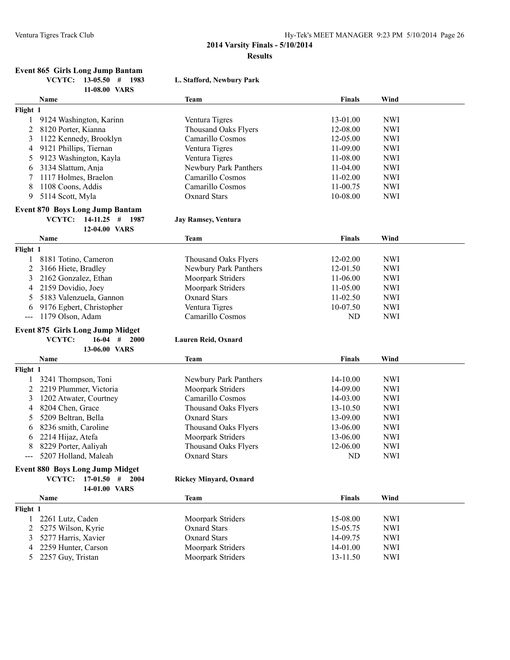#### **Event 865 Girls Long Jump Bantam VCYTC: 13-05.50 # 1983 L. Stafford, Newbury Park**

|              | 11-08.00 VARS                           |                               |               |            |
|--------------|-----------------------------------------|-------------------------------|---------------|------------|
|              | Name                                    | <b>Team</b>                   | <b>Finals</b> | Wind       |
| Flight 1     |                                         |                               |               |            |
| $\mathbf{1}$ | 9124 Washington, Karinn                 | Ventura Tigres                | 13-01.00      | <b>NWI</b> |
| 2            | 8120 Porter, Kianna                     | <b>Thousand Oaks Flyers</b>   | 12-08.00      | <b>NWI</b> |
| 3            | 1122 Kennedy, Brooklyn                  | Camarillo Cosmos              | 12-05.00      | <b>NWI</b> |
| 4            | 9121 Phillips, Tiernan                  | Ventura Tigres                | 11-09.00      | <b>NWI</b> |
| 5            | 9123 Washington, Kayla                  | Ventura Tigres                | 11-08.00      | <b>NWI</b> |
| 6            | 3134 Slattum, Anja                      | Newbury Park Panthers         | $11-04.00$    | <b>NWI</b> |
| 7            | 1117 Holmes, Braelon                    | Camarillo Cosmos              | $11-02.00$    | <b>NWI</b> |
| 8            | 1108 Coons, Addis                       | Camarillo Cosmos              | 11-00.75      | <b>NWI</b> |
| 9            | 5114 Scott, Myla                        | <b>Oxnard Stars</b>           | 10-08.00      | <b>NWI</b> |
|              |                                         |                               |               |            |
|              | <b>Event 870 Boys Long Jump Bantam</b>  |                               |               |            |
|              | VCYTC:<br>$14-11.25$ # 1987             | <b>Jay Ramsey, Ventura</b>    |               |            |
|              | 12-04.00 VARS                           |                               |               |            |
|              | Name                                    | <b>Team</b>                   | <b>Finals</b> | Wind       |
| Flight 1     |                                         |                               |               |            |
| 1            | 8181 Totino, Cameron                    | <b>Thousand Oaks Flyers</b>   | 12-02.00      | <b>NWI</b> |
| 2            | 3166 Hiete, Bradley                     | Newbury Park Panthers         | 12-01.50      | <b>NWI</b> |
| 3            | 2162 Gonzalez, Ethan                    | Moorpark Striders             | 11-06.00      | <b>NWI</b> |
| 4            | 2159 Dovidio, Joey                      | Moorpark Striders             | $11 - 05.00$  | <b>NWI</b> |
| 5            | 5183 Valenzuela, Gannon                 | <b>Oxnard Stars</b>           | $11-02.50$    | <b>NWI</b> |
| 6            | 9176 Egbert, Christopher                | Ventura Tigres                | 10-07.50      | <b>NWI</b> |
| ---          | 1179 Olson, Adam                        | Camarillo Cosmos              | ND            | <b>NWI</b> |
|              |                                         |                               |               |            |
|              | <b>Event 875 Girls Long Jump Midget</b> |                               |               |            |
|              | VCYTC:<br>$16 - 04$<br>#<br>2000        | Lauren Reid, Oxnard           |               |            |
|              | 13-06.00 VARS                           |                               |               |            |
|              | Name                                    | <b>Team</b>                   | Finals        | Wind       |
| Flight 1     |                                         |                               |               |            |
| 1            | 3241 Thompson, Toni                     | Newbury Park Panthers         | 14-10.00      | <b>NWI</b> |
| 2            | 2219 Plummer, Victoria                  | Moorpark Striders             | 14-09.00      | <b>NWI</b> |
| 3            | 1202 Atwater, Courtney                  | Camarillo Cosmos              | 14-03.00      | <b>NWI</b> |
| 4            | 8204 Chen, Grace                        | <b>Thousand Oaks Flyers</b>   | 13-10.50      | <b>NWI</b> |
| 5            | 5209 Beltran, Bella                     | <b>Oxnard Stars</b>           | 13-09.00      | <b>NWI</b> |
| 6            | 8236 smith, Caroline                    | <b>Thousand Oaks Flyers</b>   | 13-06.00      | <b>NWI</b> |
| 6            | 2214 Hijaz, Atefa                       | Moorpark Striders             | 13-06.00      | <b>NWI</b> |
| 8            | 8229 Porter, Aaliyah                    | <b>Thousand Oaks Flyers</b>   | 12-06.00      | <b>NWI</b> |
| ---          | 5207 Holland, Maleah                    | <b>Oxnard Stars</b>           | ND            | <b>NWI</b> |
|              | <b>Event 880 Boys Long Jump Midget</b>  |                               |               |            |
|              | VCYTC:                                  |                               |               |            |
|              | $17-01.50$ # 2004                       | <b>Rickey Minyard, Oxnard</b> |               |            |
|              | 14-01.00 VARS                           |                               |               |            |
|              | Name                                    | <b>Team</b>                   | <b>Finals</b> | Wind       |
| Flight 1     |                                         |                               |               |            |
| 1            | 2261 Lutz, Caden                        | Moorpark Striders             | 15-08.00      | <b>NWI</b> |
| 2            | 5275 Wilson, Kyrie                      | <b>Oxnard Stars</b>           | 15-05.75      | <b>NWI</b> |
| 3            | 5277 Harris, Xavier                     | <b>Oxnard Stars</b>           | 14-09.75      | <b>NWI</b> |
| 4            | 2259 Hunter, Carson                     | Moorpark Striders             | 14-01.00      | <b>NWI</b> |
| 5            | 2257 Guy, Tristan                       | Moorpark Striders             | 13-11.50      | <b>NWI</b> |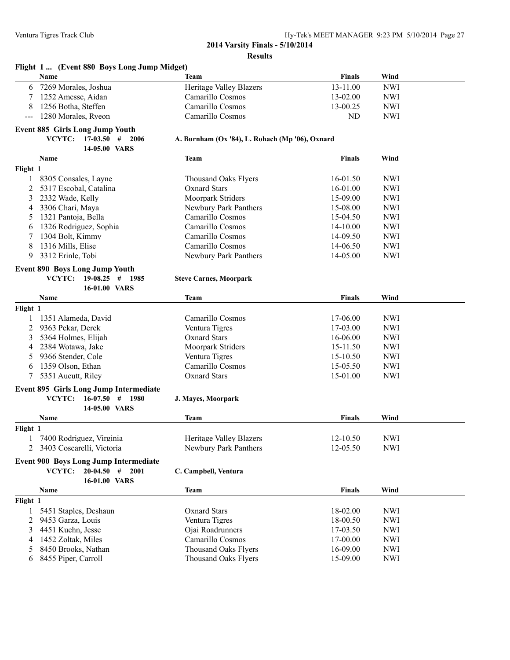**Flight 1 ... (Event 880 Boys Long Jump Midget)**

#### **2014 Varsity Finals - 5/10/2014 Results**

**Name Team Finals Wind**

| 6                                        | 7269 Morales, Joshua                                                         | <b>Heritage Valley Blazers</b>                  | 13-11.00      | <b>NWI</b> |  |
|------------------------------------------|------------------------------------------------------------------------------|-------------------------------------------------|---------------|------------|--|
| 7                                        | 1252 Amesse, Aidan                                                           | Camarillo Cosmos                                | 13-02.00      | <b>NWI</b> |  |
| 8                                        | 1256 Botha, Steffen                                                          | Camarillo Cosmos                                | 13-00.25      | <b>NWI</b> |  |
| $\hspace{0.05cm} \ldots \hspace{0.05cm}$ | 1280 Morales, Ryeon                                                          | Camarillo Cosmos                                | ND            | <b>NWI</b> |  |
|                                          | <b>Event 885 Girls Long Jump Youth</b>                                       |                                                 |               |            |  |
|                                          | VCYTC:<br>$17-03.50$ # 2006                                                  | A. Burnham (Ox '84), L. Rohach (Mp '06), Oxnard |               |            |  |
|                                          | 14-05.00 VARS                                                                |                                                 |               |            |  |
|                                          | Name                                                                         | <b>Team</b>                                     | <b>Finals</b> | Wind       |  |
| Flight 1                                 |                                                                              |                                                 |               |            |  |
| 1                                        | 8305 Consales, Layne                                                         | <b>Thousand Oaks Flyers</b>                     | 16-01.50      | <b>NWI</b> |  |
| 2                                        | 5317 Escobal, Catalina                                                       | <b>Oxnard Stars</b>                             | 16-01.00      | <b>NWI</b> |  |
| 3                                        | 2332 Wade, Kelly                                                             | Moorpark Striders                               | 15-09.00      | <b>NWI</b> |  |
| 4                                        | 3306 Chari, Maya                                                             | Newbury Park Panthers                           | 15-08.00      | <b>NWI</b> |  |
| 5                                        | 1321 Pantoja, Bella                                                          | Camarillo Cosmos                                | 15-04.50      | <b>NWI</b> |  |
| 6                                        | 1326 Rodriguez, Sophia                                                       | Camarillo Cosmos                                | 14-10.00      | <b>NWI</b> |  |
| 7                                        | 1304 Bolt, Kimmy                                                             | Camarillo Cosmos                                | 14-09.50      | <b>NWI</b> |  |
| 8                                        | 1316 Mills, Elise                                                            | Camarillo Cosmos                                | 14-06.50      | <b>NWI</b> |  |
| 9                                        | 3312 Erinle, Tobi                                                            | Newbury Park Panthers                           | 14-05.00      | <b>NWI</b> |  |
|                                          | <b>Event 890 Boys Long Jump Youth</b>                                        |                                                 |               |            |  |
|                                          | VCYTC:<br>$19-08.25$ # 1985                                                  | <b>Steve Carnes, Moorpark</b>                   |               |            |  |
|                                          | 16-01.00 VARS                                                                |                                                 |               |            |  |
|                                          | <b>Name</b>                                                                  | <b>Team</b>                                     | <b>Finals</b> | Wind       |  |
| Flight 1                                 |                                                                              |                                                 |               |            |  |
| 1                                        | 1351 Alameda, David                                                          | Camarillo Cosmos                                | 17-06.00      | <b>NWI</b> |  |
| 2                                        | 9363 Pekar, Derek                                                            | Ventura Tigres                                  | 17-03.00      | <b>NWI</b> |  |
| 3                                        | 5364 Holmes, Elijah                                                          | <b>Oxnard Stars</b>                             | 16-06.00      | <b>NWI</b> |  |
| 4                                        | 2384 Wotawa, Jake                                                            | Moorpark Striders                               | 15-11.50      | <b>NWI</b> |  |
| 5                                        | 9366 Stender, Cole                                                           | Ventura Tigres                                  | 15-10.50      | <b>NWI</b> |  |
| 6                                        | 1359 Olson, Ethan                                                            | Camarillo Cosmos                                | 15-05.50      | <b>NWI</b> |  |
| 7                                        | 5351 Aucutt, Riley                                                           | <b>Oxnard Stars</b>                             | 15-01.00      | <b>NWI</b> |  |
|                                          |                                                                              |                                                 |               |            |  |
|                                          | <b>Event 895 Girls Long Jump Intermediate</b><br>VCYTC:<br>$16-07.50$ # 1980 |                                                 |               |            |  |
|                                          | 14-05.00 VARS                                                                | J. Mayes, Moorpark                              |               |            |  |
|                                          | Name                                                                         | <b>Team</b>                                     | <b>Finals</b> | Wind       |  |
| Flight 1                                 |                                                                              |                                                 |               |            |  |
| 1                                        | 7400 Rodriguez, Virginia                                                     | <b>Heritage Valley Blazers</b>                  | 12-10.50      | <b>NWI</b> |  |
| 2                                        | 3403 Coscarelli, Victoria                                                    | Newbury Park Panthers                           | 12-05.50      | <b>NWI</b> |  |
|                                          |                                                                              |                                                 |               |            |  |
|                                          | <b>Event 900 Boys Long Jump Intermediate</b>                                 |                                                 |               |            |  |
|                                          | VCYTC:<br>$20-04.50$ #<br>2001                                               | C. Campbell, Ventura                            |               |            |  |
|                                          | 16-01.00 VARS                                                                |                                                 |               |            |  |
|                                          | Name                                                                         | <b>Team</b>                                     | <b>Finals</b> | Wind       |  |
| Flight 1                                 |                                                                              |                                                 |               |            |  |
| 1                                        | 5451 Staples, Deshaun                                                        | Oxnard Stars                                    | 18-02.00      | <b>NWI</b> |  |
| $\overline{c}$                           | 9453 Garza, Louis                                                            | Ventura Tigres                                  | 18-00.50      | <b>NWI</b> |  |
| 3                                        | 4451 Kuehn, Jesse                                                            | Ojai Roadrunners                                | 17-03.50      | <b>NWI</b> |  |
| 4                                        | 1452 Zoltak, Miles                                                           | Camarillo Cosmos                                | 17-00.00      | <b>NWI</b> |  |
| 5                                        | 8450 Brooks, Nathan                                                          | <b>Thousand Oaks Flyers</b>                     | 16-09.00      | <b>NWI</b> |  |
| 6                                        | 8455 Piper, Carroll                                                          | <b>Thousand Oaks Flyers</b>                     | 15-09.00      | <b>NWI</b> |  |
|                                          |                                                                              |                                                 |               |            |  |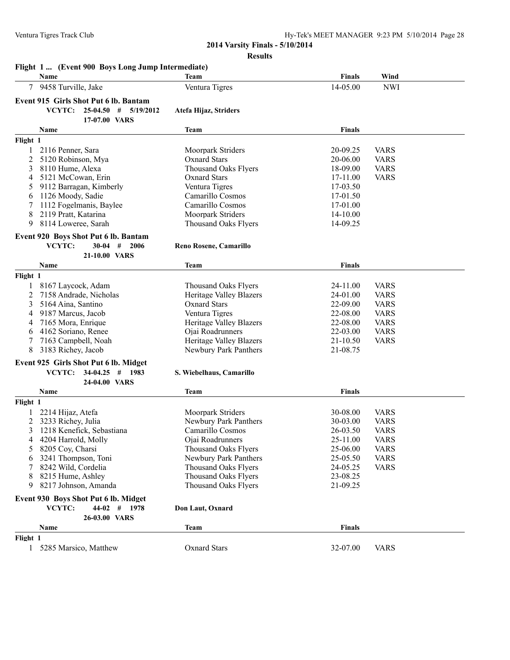| Ventura Tigres Track Club |                                                           | Hy-Tek's MEET MANAGER 9:23 PM 5/10/2014 Page 28<br>2014 Varsity Finals - 5/10/2014 |               |             |
|---------------------------|-----------------------------------------------------------|------------------------------------------------------------------------------------|---------------|-------------|
|                           |                                                           | <b>Results</b>                                                                     |               |             |
|                           | Flight 1  (Event 900 Boys Long Jump Intermediate)<br>Name | Team                                                                               | <b>Finals</b> | Wind        |
| 7                         | 9458 Turville, Jake                                       | Ventura Tigres                                                                     | 14-05.00      | <b>NWI</b>  |
|                           | Event 915 Girls Shot Put 6 lb. Bantam                     |                                                                                    |               |             |
|                           | VCYTC: 25-04.50 # 5/19/2012<br>17-07.00 VARS              | Atefa Hijaz, Striders                                                              |               |             |
|                           | Name                                                      | Team                                                                               | Finals        |             |
| Flight 1                  |                                                           |                                                                                    |               |             |
|                           | 1 2116 Penner, Sara                                       | Moorpark Striders                                                                  | 20-09.25      | <b>VARS</b> |
| 2                         | 5120 Robinson, Mya                                        | <b>Oxnard Stars</b>                                                                | 20-06.00      | <b>VARS</b> |
| 3                         | 8110 Hume, Alexa                                          | <b>Thousand Oaks Flyers</b>                                                        | 18-09.00      | <b>VARS</b> |
| 4                         | 5121 McCowan, Erin                                        | <b>Oxnard Stars</b>                                                                | 17-11.00      | <b>VARS</b> |
| 5                         | 9112 Barragan, Kimberly                                   | Ventura Tigres                                                                     | 17-03.50      |             |
| 6                         | 1126 Moody, Sadie                                         | Camarillo Cosmos                                                                   | 17-01.50      |             |
| 7                         | 1112 Fogelmanis, Baylee                                   | Camarillo Cosmos                                                                   | 17-01.00      |             |
| 8                         | 2119 Pratt, Katarina                                      | Moorpark Striders                                                                  | 14-10.00      |             |
| 9                         | 8114 Loweree, Sarah                                       | Thousand Oaks Flyers                                                               | 14-09.25      |             |
|                           | Event 920 Boys Shot Put 6 lb. Bantam                      |                                                                                    |               |             |
|                           | $30-04$ # 2006<br>VCYTC:                                  | Reno Rosene, Camarillo                                                             |               |             |
|                           | 21-10.00 VARS                                             |                                                                                    |               |             |
|                           | Name                                                      | <b>Team</b>                                                                        | <b>Finals</b> |             |
| Flight 1                  |                                                           |                                                                                    |               |             |
|                           | 1 8167 Laycock, Adam                                      | Thousand Oaks Flyers                                                               | 24-11.00      | <b>VARS</b> |
| 2                         | 7158 Andrade, Nicholas                                    | <b>Heritage Valley Blazers</b>                                                     | 24-01.00      | <b>VARS</b> |
| 3                         | 5164 Aina, Santino                                        | <b>Oxnard Stars</b>                                                                | 22-09.00      | <b>VARS</b> |
| 4                         | 9187 Marcus, Jacob                                        | Ventura Tigres                                                                     | 22-08.00      | <b>VARS</b> |
| 4                         | 7165 Mora, Enrique                                        | <b>Heritage Valley Blazers</b>                                                     | 22-08.00      | <b>VARS</b> |
| 6                         | 4162 Soriano, Renee                                       | Ojai Roadrunners                                                                   | 22-03.00      | <b>VARS</b> |
|                           | 7163 Campbell, Noah                                       | Heritage Valley Blazers                                                            | 21-10.50      | <b>VARS</b> |
| 8                         | 3183 Richey, Jacob                                        | Newbury Park Panthers                                                              | 21-08.75      |             |
|                           | Event 925 Girls Shot Put 6 lb. Midget                     |                                                                                    |               |             |
|                           | <b>VCYTC:</b><br>$34-04.25$ # 1983                        | S. Wiebelhaus, Camarillo                                                           |               |             |
|                           | 24-04.00 VARS                                             |                                                                                    |               |             |
|                           | Name                                                      | <b>Team</b>                                                                        | <b>Finals</b> |             |
| Flight 1                  |                                                           |                                                                                    |               |             |
| 1                         | 2214 Hijaz, Atefa                                         | Moorpark Striders                                                                  | 30-08.00      | <b>VARS</b> |
| 2                         | 3233 Richey, Julia                                        | Newbury Park Panthers                                                              | 30-03.00      | <b>VARS</b> |
| 3                         | 1218 Kenefick, Sebastiana                                 | Camarillo Cosmos                                                                   | 26-03.50      | <b>VARS</b> |
| 4                         | 4204 Harrold, Molly                                       | Ojai Roadrunners                                                                   | 25-11.00      | <b>VARS</b> |
| 5                         | 8205 Coy, Charsi                                          | Thousand Oaks Flyers                                                               | 25-06.00      | <b>VARS</b> |
| 6                         | 3241 Thompson, Toni                                       | Newbury Park Panthers                                                              | 25-05.50      | <b>VARS</b> |
|                           | 8242 Wild, Cordelia                                       | <b>Thousand Oaks Flyers</b>                                                        | 24-05.25      | <b>VARS</b> |
| 8                         | 8215 Hume, Ashley                                         | Thousand Oaks Flyers                                                               | 23-08.25      |             |
| 9                         | 8217 Johnson, Amanda                                      | <b>Thousand Oaks Flyers</b>                                                        | 21-09.25      |             |
|                           | Event 930 Boys Shot Put 6 lb. Midget                      |                                                                                    |               |             |
|                           | VCYTC:<br>$44-02$ # 1978                                  | Don Laut, Oxnard                                                                   |               |             |
|                           | 26-03.00 VARS                                             |                                                                                    |               |             |
|                           | Name                                                      | <b>Team</b>                                                                        | <b>Finals</b> |             |
|                           |                                                           |                                                                                    |               |             |
| Flight 1                  |                                                           |                                                                                    |               |             |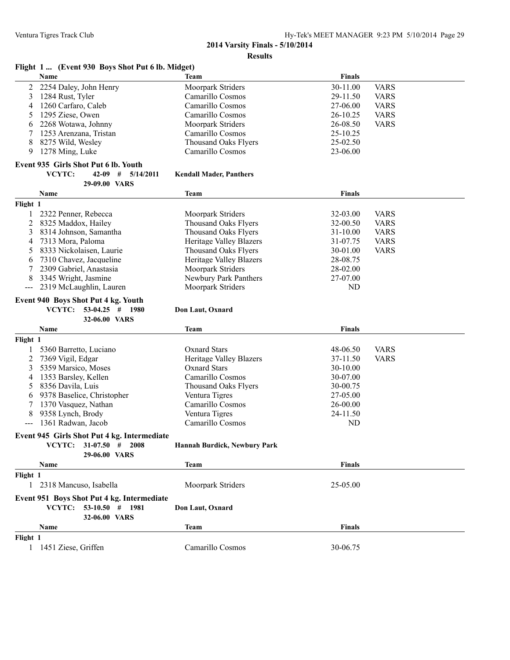### **Flight 1 ... (Event 930 Boys Shot Put 6 lb. Midget)**

|                                             | Name                                 | <b>Team</b>                         | Finals        |             |  |  |  |
|---------------------------------------------|--------------------------------------|-------------------------------------|---------------|-------------|--|--|--|
| 2                                           | 2254 Daley, John Henry               | Moorpark Striders                   | 30-11.00      | <b>VARS</b> |  |  |  |
| 3                                           | 1284 Rust, Tyler                     | Camarillo Cosmos                    | 29-11.50      | <b>VARS</b> |  |  |  |
| 4                                           | 1260 Carfaro, Caleb                  | Camarillo Cosmos                    | 27-06.00      | <b>VARS</b> |  |  |  |
| 5                                           | 1295 Ziese, Owen                     | Camarillo Cosmos                    | 26-10.25      | <b>VARS</b> |  |  |  |
| 6                                           | 2268 Wotawa, Johnny                  | Moorpark Striders                   | 26-08.50      | <b>VARS</b> |  |  |  |
|                                             |                                      | Camarillo Cosmos                    |               |             |  |  |  |
| 7                                           | 1253 Arenzana, Tristan               |                                     | 25-10.25      |             |  |  |  |
| 8                                           | 8275 Wild, Wesley                    | <b>Thousand Oaks Flyers</b>         | 25-02.50      |             |  |  |  |
| 9                                           | 1278 Ming, Luke                      | Camarillo Cosmos                    | 23-06.00      |             |  |  |  |
|                                             | Event 935 Girls Shot Put 6 lb. Youth |                                     |               |             |  |  |  |
|                                             | VCYTC:<br>$42-09$ # $5/14/2011$      | <b>Kendall Mader, Panthers</b>      |               |             |  |  |  |
|                                             | 29-09.00 VARS                        |                                     |               |             |  |  |  |
|                                             | Name                                 | <b>Team</b>                         | <b>Finals</b> |             |  |  |  |
|                                             |                                      |                                     |               |             |  |  |  |
| Flight 1                                    |                                      |                                     |               |             |  |  |  |
|                                             | 2322 Penner, Rebecca                 | Moorpark Striders                   | 32-03.00      | <b>VARS</b> |  |  |  |
| 2                                           | 8325 Maddox, Hailey                  | <b>Thousand Oaks Flyers</b>         | 32-00.50      | <b>VARS</b> |  |  |  |
| 3                                           | 8314 Johnson, Samantha               | <b>Thousand Oaks Flyers</b>         | $31 - 10.00$  | <b>VARS</b> |  |  |  |
| 4                                           | 7313 Mora, Paloma                    | Heritage Valley Blazers             | 31-07.75      | <b>VARS</b> |  |  |  |
| 5                                           | 8333 Nickolaisen, Laurie             | <b>Thousand Oaks Flyers</b>         | 30-01.00      | <b>VARS</b> |  |  |  |
| 6                                           | 7310 Chavez, Jacqueline              | <b>Heritage Valley Blazers</b>      | 28-08.75      |             |  |  |  |
|                                             | 2309 Gabriel, Anastasia              | Moorpark Striders                   | 28-02.00      |             |  |  |  |
|                                             | 3345 Wright, Jasmine                 | Newbury Park Panthers               | 27-07.00      |             |  |  |  |
| $---$                                       | 2319 McLaughlin, Lauren              | Moorpark Striders                   | ND            |             |  |  |  |
| Event 940 Boys Shot Put 4 kg. Youth         |                                      |                                     |               |             |  |  |  |
|                                             | VCYTC: 53-04.25 # 1980               | Don Laut, Oxnard                    |               |             |  |  |  |
|                                             | 32-06.00 VARS                        |                                     |               |             |  |  |  |
|                                             | Name                                 | Team                                | <b>Finals</b> |             |  |  |  |
| Flight 1                                    |                                      |                                     |               |             |  |  |  |
| 1                                           | 5360 Barretto, Luciano               | <b>Oxnard Stars</b>                 | 48-06.50      | <b>VARS</b> |  |  |  |
| 2                                           | 7369 Vigil, Edgar                    | <b>Heritage Valley Blazers</b>      | 37-11.50      | <b>VARS</b> |  |  |  |
| 3                                           | 5359 Marsico, Moses                  | <b>Oxnard Stars</b>                 | 30-10.00      |             |  |  |  |
| 4                                           | 1353 Barsley, Kellen                 | Camarillo Cosmos                    | 30-07.00      |             |  |  |  |
| 5                                           | 8356 Davila, Luis                    | <b>Thousand Oaks Flyers</b>         | 30-00.75      |             |  |  |  |
| 6                                           | 9378 Baselice, Christopher           | Ventura Tigres                      | 27-05.00      |             |  |  |  |
|                                             | 1370 Vasquez, Nathan                 | Camarillo Cosmos                    | $26 - 00.00$  |             |  |  |  |
| 8                                           | 9358 Lynch, Brody                    | Ventura Tigres                      | 24-11.50      |             |  |  |  |
| ---                                         | 1361 Radwan, Jacob                   | Camarillo Cosmos                    | ND            |             |  |  |  |
|                                             |                                      |                                     |               |             |  |  |  |
| Event 945 Girls Shot Put 4 kg. Intermediate |                                      |                                     |               |             |  |  |  |
|                                             | VCYTC: 31-07.50 # 2008               | <b>Hannah Burdick, Newbury Park</b> |               |             |  |  |  |
|                                             | 29-06.00 VARS                        |                                     |               |             |  |  |  |
|                                             | Name                                 | Team                                | <b>Finals</b> |             |  |  |  |
| Flight 1                                    |                                      |                                     |               |             |  |  |  |
|                                             | 1 2318 Mancuso, Isabella             | Moorpark Striders                   | 25-05.00      |             |  |  |  |
|                                             |                                      |                                     |               |             |  |  |  |
| Event 951 Boys Shot Put 4 kg. Intermediate  |                                      |                                     |               |             |  |  |  |
|                                             | VCYTC: 53-10.50 # 1981               | Don Laut, Oxnard                    |               |             |  |  |  |
|                                             | 32-06.00 VARS                        |                                     |               |             |  |  |  |
|                                             | Name                                 | <b>Team</b>                         | <b>Finals</b> |             |  |  |  |
| Flight 1                                    |                                      |                                     |               |             |  |  |  |
|                                             | 1 1451 Ziese, Griffen                | Camarillo Cosmos                    | 30-06.75      |             |  |  |  |
|                                             |                                      |                                     |               |             |  |  |  |